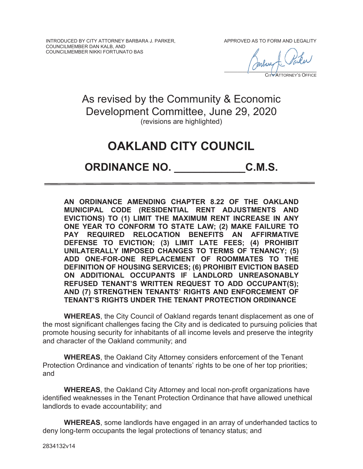INTRODUCED BY CITY ATTORNEY BARBARA J. PARKER, COUNCILMEMBER DAN KALB, AND COUNCILMEMBER NIKKI FORTUNATO BAS

APPROVED AS TO FORM AND LEGALITY

 $\overline{\phantom{a}}$ CITY ATTORNEY'S OFFICE  $\overline{1}$ 

As revised by the Community & Economic Development Committee, June 29, 2020 (revisions are highlighted)

# **OAKLAND CITY COUNCIL**

## **ORDINANCE NO. \_\_\_\_\_\_\_\_\_\_\_\_C.M.S.**

**AN ORDINANCE AMENDING CHAPTER 8.22 OF THE OAKLAND MUNICIPAL CODE (RESIDENTIAL RENT ADJUSTMENTS AND EVICTIONS) TO (1) LIMIT THE MAXIMUM RENT INCREASE IN ANY ONE YEAR TO CONFORM TO STATE LAW; (2) MAKE FAILURE TO PAY REQUIRED RELOCATION BENEFITS AN AFFIRMATIVE DEFENSE TO EVICTION; (3) LIMIT LATE FEES; (4) PROHIBIT UNILATERALLY IMPOSED CHANGES TO TERMS OF TENANCY; (5) ADD ONE-FOR-ONE REPLACEMENT OF ROOMMATES TO THE DEFINITION OF HOUSING SERVICES; (6) PROHIBIT EVICTION BASED ON ADDITIONAL OCCUPANTS IF LANDLORD UNREASONABLY REFUSED TENANT'S WRITTEN REQUEST TO ADD OCCUPANT(S); AND (7) STRENGTHEN TENANTS' RIGHTS AND ENFORCEMENT OF TENANT'S RIGHTS UNDER THE TENANT PROTECTION ORDINANCE** 

**WHEREAS**, the City Council of Oakland regards tenant displacement as one of the most significant challenges facing the City and is dedicated to pursuing policies that promote housing security for inhabitants of all income levels and preserve the integrity and character of the Oakland community; and

**WHEREAS**, the Oakland City Attorney considers enforcement of the Tenant Protection Ordinance and vindication of tenants' rights to be one of her top priorities; and

**WHEREAS**, the Oakland City Attorney and local non-profit organizations have identified weaknesses in the Tenant Protection Ordinance that have allowed unethical landlords to evade accountability; and

**WHEREAS**, some landlords have engaged in an array of underhanded tactics to deny long-term occupants the legal protections of tenancy status; and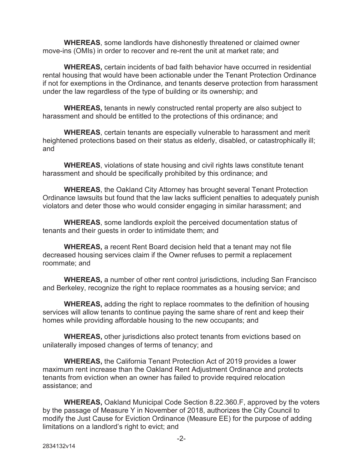**WHEREAS**, some landlords have dishonestly threatened or claimed owner move-ins (OMIs) in order to recover and re-rent the unit at market rate; and

**WHEREAS,** certain incidents of bad faith behavior have occurred in residential rental housing that would have been actionable under the Tenant Protection Ordinance if not for exemptions in the Ordinance, and tenants deserve protection from harassment under the law regardless of the type of building or its ownership; and

**WHEREAS,** tenants in newly constructed rental property are also subject to harassment and should be entitled to the protections of this ordinance; and

**WHEREAS**, certain tenants are especially vulnerable to harassment and merit heightened protections based on their status as elderly, disabled, or catastrophically ill; and

**WHEREAS**, violations of state housing and civil rights laws constitute tenant harassment and should be specifically prohibited by this ordinance; and

**WHEREAS**, the Oakland City Attorney has brought several Tenant Protection Ordinance lawsuits but found that the law lacks sufficient penalties to adequately punish violators and deter those who would consider engaging in similar harassment; and

**WHEREAS**, some landlords exploit the perceived documentation status of tenants and their guests in order to intimidate them; and

**WHEREAS,** a recent Rent Board decision held that a tenant may not file decreased housing services claim if the Owner refuses to permit a replacement roommate; and

**WHEREAS,** a number of other rent control jurisdictions, including San Francisco and Berkeley, recognize the right to replace roommates as a housing service; and

**WHEREAS,** adding the right to replace roommates to the definition of housing services will allow tenants to continue paying the same share of rent and keep their homes while providing affordable housing to the new occupants; and

**WHEREAS,** other jurisdictions also protect tenants from evictions based on unilaterally imposed changes of terms of tenancy; and

**WHEREAS,** the California Tenant Protection Act of 2019 provides a lower maximum rent increase than the Oakland Rent Adjustment Ordinance and protects tenants from eviction when an owner has failed to provide required relocation assistance; and

**WHEREAS,** Oakland Municipal Code Section 8.22.360.F, approved by the voters by the passage of Measure Y in November of 2018, authorizes the City Council to modify the Just Cause for Eviction Ordinance (Measure EE) for the purpose of adding limitations on a landlord's right to evict; and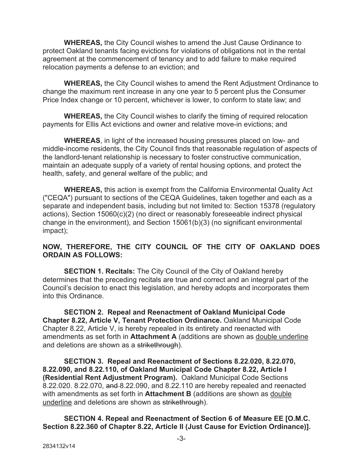**WHEREAS,** the City Council wishes to amend the Just Cause Ordinance to protect Oakland tenants facing evictions for violations of obligations not in the rental agreement at the commencement of tenancy and to add failure to make required relocation payments a defense to an eviction; and

**WHEREAS,** the City Council wishes to amend the Rent Adjustment Ordinance to change the maximum rent increase in any one year to 5 percent plus the Consumer Price Index change or 10 percent, whichever is lower, to conform to state law; and

**WHEREAS,** the City Council wishes to clarify the timing of required relocation payments for Ellis Act evictions and owner and relative move-in evictions; and

**WHEREAS**, in light of the increased housing pressures placed on low- and middle-income residents, the City Council finds that reasonable regulation of aspects of the landlord-tenant relationship is necessary to foster constructive communication, maintain an adequate supply of a variety of rental housing options, and protect the health, safety, and general welfare of the public; and

**WHEREAS,** this action is exempt from the California Environmental Quality Act ("CEQA") pursuant to sections of the CEQA Guidelines, taken together and each as a separate and independent basis, including but not limited to: Section 15378 (regulatory actions), Section 15060(c)(2) (no direct or reasonably foreseeable indirect physical change in the environment), and Section 15061(b)(3) (no significant environmental impact);

## **NOW, THEREFORE, THE CITY COUNCIL OF THE CITY OF OAKLAND DOES ORDAIN AS FOLLOWS:**

 **SECTION 1. Recitals:** The City Council of the City of Oakland hereby determines that the preceding recitals are true and correct and an integral part of the Council's decision to enact this legislation, and hereby adopts and incorporates them into this Ordinance.

 **SECTION 2. Repeal and Reenactment of Oakland Municipal Code Chapter 8.22, Article V, Tenant Protection Ordinance.** Oakland Municipal Code Chapter 8.22, Article V, is hereby repealed in its entirety and reenacted with amendments as set forth in **Attachment A** (additions are shown as double underline and deletions are shown as a strikethrough).

**SECTION 3. Repeal and Reenactment of Sections 8.22.020, 8.22.070, 8.22.090, and 8.22.110, of Oakland Municipal Code Chapter 8.22, Article I (Residential Rent Adjustment Program).** Oakland Municipal Code Sections 8.22.020. 8.22.070, and 8.22.090, and 8.22.110 are hereby repealed and reenacted with amendments as set forth in **Attachment B** (additions are shown as double underline and deletions are shown as strikethrough).

**SECTION 4. Repeal and Reenactment of Section 6 of Measure EE [O.M.C. Section 8.22.360 of Chapter 8.22, Article II (Just Cause for Eviction Ordinance)].**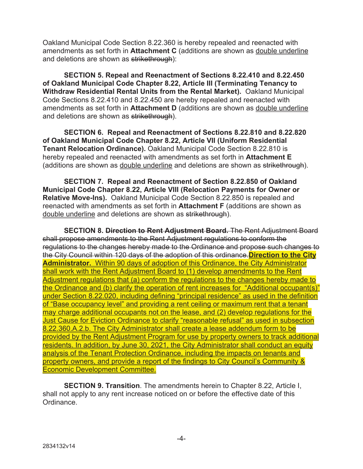Oakland Municipal Code Section 8.22.360 is hereby repealed and reenacted with amendments as set forth in **Attachment C** (additions are shown as double underline and deletions are shown as strikethrough):

**SECTION 5. Repeal and Reenactment of Sections 8.22.410 and 8.22.450 of Oakland Municipal Code Chapter 8.22, Article III (Terminating Tenancy to Withdraw Residential Rental Units from the Rental Market).** Oakland Municipal Code Sections 8.22.410 and 8.22.450 are hereby repealed and reenacted with amendments as set forth in **Attachment D** (additions are shown as double underline and deletions are shown as strikethrough).

**SECTION 6. Repeal and Reenactment of Sections 8.22.810 and 8.22.820 of Oakland Municipal Code Chapter 8.22, Article VII (Uniform Residential Tenant Relocation Ordinance).** Oakland Municipal Code Section 8.22.810 is hereby repealed and reenacted with amendments as set forth in **Attachment E** (additions are shown as double underline and deletions are shown as strikethrough).

**SECTION 7. Repeal and Reenactment of Section 8.22.850 of Oakland Municipal Code Chapter 8.22, Article VIII (Relocation Payments for Owner or Relative Move-Ins).** Oakland Municipal Code Section 8.22.850 is repealed and reenacted with amendments as set forth in **Attachment F** (additions are shown as double underline and deletions are shown as strikethrough).

 **SECTION 8. Direction to Rent Adjustment Board.** The Rent Adjustment Board shall propose amendments to the Rent Adjustment regulations to conform the regulations to the changes hereby made to the Ordinance and propose such changes to the City Council within 120 days of the adoption of this ordinance.**Direction to the City Administrator.** Within 90 days of adoption of this Ordinance, the City Administrator shall work with the Rent Adjustment Board to (1) develop amendments to the Rent Adjustment regulations that (a) conform the regulations to the changes hereby made to the Ordinance and (b) clarify the operation of rent increases for "Additional occupant(s)" under Section 8.22.020, including defining "principal residence" as used in the definition of "Base occupancy level" and providing a rent ceiling or maximum rent that a tenant may charge additional occupants not on the lease, and (2) develop regulations for the Just Cause for Eviction Ordinance to clarify "reasonable refusal" as used in subsection 8.22.360.A.2.b. The City Administrator shall create a lease addendum form to be provided by the Rent Adjustment Program for use by property owners to track additional residents. In addition, by June 30, 2021, the City Administrator shall conduct an equity analysis of the Tenant Protection Ordinance, including the impacts on tenants and property owners, and provide a report of the findings to City Council's Community & Economic Development Committee.

**SECTION 9. Transition**. The amendments herein to Chapter 8.22, Article I, shall not apply to any rent increase noticed on or before the effective date of this Ordinance.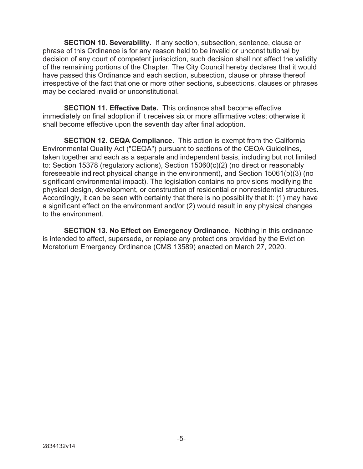**SECTION 10. Severability.** If any section, subsection, sentence, clause or phrase of this Ordinance is for any reason held to be invalid or unconstitutional by decision of any court of competent jurisdiction, such decision shall not affect the validity of the remaining portions of the Chapter. The City Council hereby declares that it would have passed this Ordinance and each section, subsection, clause or phrase thereof irrespective of the fact that one or more other sections, subsections, clauses or phrases may be declared invalid or unconstitutional.

**SECTION 11. Effective Date.** This ordinance shall become effective immediately on final adoption if it receives six or more affirmative votes; otherwise it shall become effective upon the seventh day after final adoption.

**SECTION 12. CEQA Compliance.** This action is exempt from the California Environmental Quality Act ("CEQA") pursuant to sections of the CEQA Guidelines, taken together and each as a separate and independent basis, including but not limited to: Section 15378 (regulatory actions), Section 15060(c)(2) (no direct or reasonably foreseeable indirect physical change in the environment), and Section 15061(b)(3) (no significant environmental impact). The legislation contains no provisions modifying the physical design, development, or construction of residential or nonresidential structures. Accordingly, it can be seen with certainty that there is no possibility that it: (1) may have a significant effect on the environment and/or (2) would result in any physical changes to the environment.

**SECTION 13. No Effect on Emergency Ordinance.** Nothing in this ordinance is intended to affect, supersede, or replace any protections provided by the Eviction Moratorium Emergency Ordinance (CMS 13589) enacted on March 27, 2020.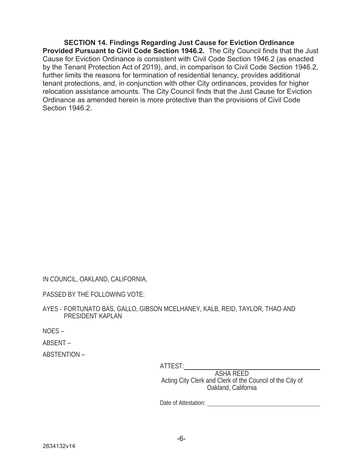**SECTION 14. Findings Regarding Just Cause for Eviction Ordinance Provided Pursuant to Civil Code Section 1946.2.** The City Council finds that the Just Cause for Eviction Ordinance is consistent with Civil Code Section 1946.2 (as enacted by the Tenant Protection Act of 2019), and, in comparison to Civil Code Section 1946.2, further limits the reasons for termination of residential tenancy, provides additional tenant protections, and, in conjunction with other City ordinances, provides for higher relocation assistance amounts. The City Council finds that the Just Cause for Eviction Ordinance as amended herein is more protective than the provisions of Civil Code Section 1946.2.

IN COUNCIL, OAKLAND, CALIFORNIA,

PASSED BY THE FOLLOWING VOTE:

AYES - FORTUNATO BAS, GALLO, GIBSON MCELHANEY, KALB, REID, TAYLOR, THAO AND PRESIDENT KAPLAN

NOES –

ABSENT –

ABSTENTION –

ATTEST:

ASHA REED Acting City Clerk and Clerk of the Council of the City of Oakland, California

Date of Attestation: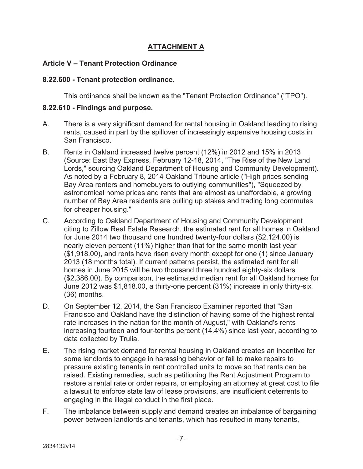## **ATTACHMENT A**

## **Article V – Tenant Protection Ordinance**

#### **8.22.600 - Tenant protection ordinance.**

This ordinance shall be known as the "Tenant Protection Ordinance" ("TPO").

#### **8.22.610 - Findings and purpose.**

- A. There is a very significant demand for rental housing in Oakland leading to rising rents, caused in part by the spillover of increasingly expensive housing costs in San Francisco.
- B. Rents in Oakland increased twelve percent (12%) in 2012 and 15% in 2013 (Source: East Bay Express, February 12-18, 2014, "The Rise of the New Land Lords," sourcing Oakland Department of Housing and Community Development). As noted by a February 8, 2014 Oakland Tribune article ("High prices sending Bay Area renters and homebuyers to outlying communities"), "Squeezed by astronomical home prices and rents that are almost as unaffordable, a growing number of Bay Area residents are pulling up stakes and trading long commutes for cheaper housing."
- C. According to Oakland Department of Housing and Community Development citing to Zillow Real Estate Research, the estimated rent for all homes in Oakland for June 2014 two thousand one hundred twenty-four dollars (\$2,124.00) is nearly eleven percent (11%) higher than that for the same month last year (\$1,918.00), and rents have risen every month except for one (1) since January 2013 (18 months total). If current patterns persist, the estimated rent for all homes in June 2015 will be two thousand three hundred eighty-six dollars (\$2,386.00). By comparison, the estimated median rent for all Oakland homes for June 2012 was \$1,818.00, a thirty-one percent (31%) increase in only thirty-six (36) months.
- D. On September 12, 2014, the San Francisco Examiner reported that "San Francisco and Oakland have the distinction of having some of the highest rental rate increases in the nation for the month of August," with Oakland's rents increasing fourteen and four-tenths percent (14.4%) since last year, according to data collected by Trulia.
- E. The rising market demand for rental housing in Oakland creates an incentive for some landlords to engage in harassing behavior or fail to make repairs to pressure existing tenants in rent controlled units to move so that rents can be raised. Existing remedies, such as petitioning the Rent Adjustment Program to restore a rental rate or order repairs, or employing an attorney at great cost to file a lawsuit to enforce state law of lease provisions, are insufficient deterrents to engaging in the illegal conduct in the first place.
- F. The imbalance between supply and demand creates an imbalance of bargaining power between landlords and tenants, which has resulted in many tenants,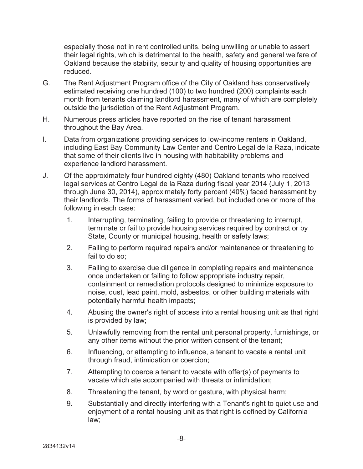especially those not in rent controlled units, being unwilling or unable to assert their legal rights, which is detrimental to the health, safety and general welfare of Oakland because the stability, security and quality of housing opportunities are reduced.

- G. The Rent Adjustment Program office of the City of Oakland has conservatively estimated receiving one hundred (100) to two hundred (200) complaints each month from tenants claiming landlord harassment, many of which are completely outside the jurisdiction of the Rent Adjustment Program.
- H. Numerous press articles have reported on the rise of tenant harassment throughout the Bay Area.
- I. Data from organizations providing services to low-income renters in Oakland, including East Bay Community Law Center and Centro Legal de la Raza, indicate that some of their clients live in housing with habitability problems and experience landlord harassment.
- J. Of the approximately four hundred eighty (480) Oakland tenants who received legal services at Centro Legal de la Raza during fiscal year 2014 (July 1, 2013 through June 30, 2014), approximately forty percent (40%) faced harassment by their landlords. The forms of harassment varied, but included one or more of the following in each case:
	- 1. Interrupting, terminating, failing to provide or threatening to interrupt, terminate or fail to provide housing services required by contract or by State, County or municipal housing, health or safety laws;
	- 2. Failing to perform required repairs and/or maintenance or threatening to fail to do so;
	- 3. Failing to exercise due diligence in completing repairs and maintenance once undertaken or failing to follow appropriate industry repair, containment or remediation protocols designed to minimize exposure to noise, dust, lead paint, mold, asbestos, or other building materials with potentially harmful health impacts;
	- 4. Abusing the owner's right of access into a rental housing unit as that right is provided by law;
	- 5. Unlawfully removing from the rental unit personal property, furnishings, or any other items without the prior written consent of the tenant;
	- 6. Influencing, or attempting to influence, a tenant to vacate a rental unit through fraud, intimidation or coercion;
	- 7. Attempting to coerce a tenant to vacate with offer(s) of payments to vacate which ate accompanied with threats or intimidation;
	- 8. Threatening the tenant, by word or gesture, with physical harm;
	- 9. Substantially and directly interfering with a Tenant's right to quiet use and enjoyment of a rental housing unit as that right is defined by California law;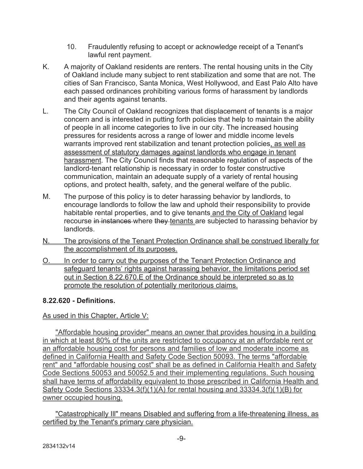- 10. Fraudulently refusing to accept or acknowledge receipt of a Tenant's lawful rent payment.
- K. A majority of Oakland residents are renters. The rental housing units in the City of Oakland include many subject to rent stabilization and some that are not. The cities of San Francisco, Santa Monica, West Hollywood, and East Palo Alto have each passed ordinances prohibiting various forms of harassment by landlords and their agents against tenants.
- L. The City Council of Oakland recognizes that displacement of tenants is a major concern and is interested in putting forth policies that help to maintain the ability of people in all income categories to live in our city. The increased housing pressures for residents across a range of lower and middle income levels warrants improved rent stabilization and tenant protection policies, as well as assessment of statutory damages against landlords who engage in tenant harassment. The City Council finds that reasonable regulation of aspects of the landlord-tenant relationship is necessary in order to foster constructive communication, maintain an adequate supply of a variety of rental housing options, and protect health, safety, and the general welfare of the public.
- M. The purpose of this policy is to deter harassing behavior by landlords, to encourage landlords to follow the law and uphold their responsibility to provide habitable rental properties, and to give tenants and the City of Oakland legal recourse in instances where they tenants are subjected to harassing behavior by landlords.
- N. The provisions of the Tenant Protection Ordinance shall be construed liberally for the accomplishment of its purposes.
- O. In order to carry out the purposes of the Tenant Protection Ordinance and safeguard tenants' rights against harassing behavior, the limitations period set out in Section 8.22.670.E of the Ordinance should be interpreted so as to promote the resolution of potentially meritorious claims.

## **8.22.620 - Definitions.**

## As used in this Chapter, Article V:

"Affordable housing provider" means an owner that provides housing in a building in which at least 80% of the units are restricted to occupancy at an affordable rent or an affordable housing cost for persons and families of low and moderate income as defined in California Health and Safety Code Section 50093. The terms "affordable rent" and "affordable housing cost" shall be as defined in California Health and Safety Code Sections 50053 and 50052.5 and their implementing regulations. Such housing shall have terms of affordability equivalent to those prescribed in California Health and Safety Code Sections 33334.3(f)(1)(A) for rental housing and 33334.3(f)(1)(B) for owner occupied housing.

"Catastrophically Ill" means Disabled and suffering from a life-threatening illness, as certified by the Tenant's primary care physician.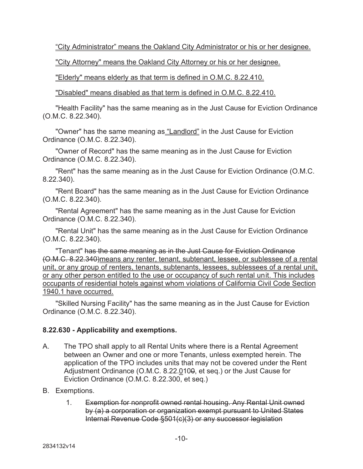"City Administrator" means the Oakland City Administrator or his or her designee.

"City Attorney" means the Oakland City Attorney or his or her designee.

"Elderly" means elderly as that term is defined in O.M.C. 8.22.410.

"Disabled" means disabled as that term is defined in O.M.C. 8.22.410.

"Health Facility" has the same meaning as in the Just Cause for Eviction Ordinance (O.M.C. 8.22.340).

"Owner" has the same meaning as "Landlord" in the Just Cause for Eviction Ordinance (O.M.C. 8.22.340).

"Owner of Record" has the same meaning as in the Just Cause for Eviction Ordinance (O.M.C. 8.22.340).

"Rent" has the same meaning as in the Just Cause for Eviction Ordinance (O.M.C. 8.22.340).

"Rent Board" has the same meaning as in the Just Cause for Eviction Ordinance (O.M.C. 8.22.340).

"Rental Agreement" has the same meaning as in the Just Cause for Eviction Ordinance (O.M.C. 8.22.340).

"Rental Unit" has the same meaning as in the Just Cause for Eviction Ordinance (O.M.C. 8.22.340).

"Tenant" has the same meaning as in the Just Cause for Eviction Ordinance (O.M.C. 8.22.340)means any renter, tenant, subtenant, lessee, or sublessee of a rental unit, or any group of renters, tenants, subtenants, lessees, sublessees of a rental unit, or any other person entitled to the use or occupancy of such rental unit. This includes occupants of residential hotels against whom violations of California Civil Code Section 1940.1 have occurred.

"Skilled Nursing Facility" has the same meaning as in the Just Cause for Eviction Ordinance (O.M.C. 8.22.340).

## **8.22.630 - Applicability and exemptions.**

- A. The TPO shall apply to all Rental Units where there is a Rental Agreement between an Owner and one or more Tenants, unless exempted herein. The application of the TPO includes units that may not be covered under the Rent Adjustment Ordinance (O.M.C. 8.22.0100, et seq.) or the Just Cause for Eviction Ordinance (O.M.C. 8.22.300, et seq.)
- B. Exemptions.
	- 1. Exemption for nonprofit owned rental housing. Any Rental Unit owned by (a) a corporation or organization exempt pursuant to United States Internal Revenue Code §501(c)(3) or any successor legislation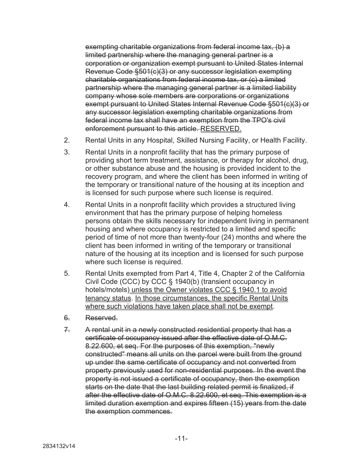exempting charitable organizations from federal income tax, (b) a limited partnership where the managing general partner is a corporation or organization exempt pursuant to United States Internal Revenue Code §501(c)(3) or any successor legislation exempting charitable organizations from federal income tax, or (c) a limited partnership where the managing general partner is a limited liability company whose sole members are corporations or organizations exempt pursuant to United States Internal Revenue Code §501(c)(3) or any successor legislation exempting charitable organizations from federal income tax shall have an exemption from the TPO's civil enforcement pursuant to this article. RESERVED.

- 2. Rental Units in any Hospital, Skilled Nursing Facility, or Health Facility.
- 3. Rental Units in a nonprofit facility that has the primary purpose of providing short term treatment, assistance, or therapy for alcohol, drug, or other substance abuse and the housing is provided incident to the recovery program, and where the client has been informed in writing of the temporary or transitional nature of the housing at its inception and is licensed for such purpose where such license is required.
- 4. Rental Units in a nonprofit facility which provides a structured living environment that has the primary purpose of helping homeless persons obtain the skills necessary for independent living in permanent housing and where occupancy is restricted to a limited and specific period of time of not more than twenty-four (24) months and where the client has been informed in writing of the temporary or transitional nature of the housing at its inception and is licensed for such purpose where such license is required.
- 5. Rental Units exempted from Part 4, Title 4, Chapter 2 of the California Civil Code (CCC) by CCC § 1940(b) (transient occupancy in hotels/motels) unless the Owner violates CCC § 1940.1 to avoid tenancy status. In those circumstances, the specific Rental Units where such violations have taken place shall not be exempt.
- 6. Reserved.
- 7. A rental unit in a newly constructed residential property that has a certificate of occupancy issued after the effective date of O.M.C. 8.22.600, et seq. For the purposes of this exemption, "newly constructed" means all units on the parcel were built from the ground up under the same certificate of occupancy and not converted from property previously used for non-residential purposes. In the event the property is not issued a certificate of occupancy, then the exemption starts on the date that the last building related permit is finalized, if after the effective date of O.M.C. 8.22.600, et seq. This exemption is a limited duration exemption and expires fifteen (15) years from the date the exemption commences.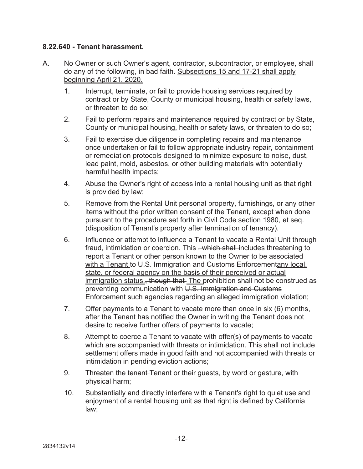#### **8.22.640 - Tenant harassment.**

- A. No Owner or such Owner's agent, contractor, subcontractor, or employee, shall do any of the following, in bad faith. Subsections 15 and 17-21 shall apply beginning April 21, 2020.
	- 1. Interrupt, terminate, or fail to provide housing services required by contract or by State, County or municipal housing, health or safety laws, or threaten to do so;
	- 2. Fail to perform repairs and maintenance required by contract or by State, County or municipal housing, health or safety laws, or threaten to do so;
	- 3. Fail to exercise due diligence in completing repairs and maintenance once undertaken or fail to follow appropriate industry repair, containment or remediation protocols designed to minimize exposure to noise, dust, lead paint, mold, asbestos, or other building materials with potentially harmful health impacts;
	- 4. Abuse the Owner's right of access into a rental housing unit as that right is provided by law;
	- 5. Remove from the Rental Unit personal property, furnishings, or any other items without the prior written consent of the Tenant, except when done pursuant to the procedure set forth in Civil Code section 1980, et seq. (disposition of Tenant's property after termination of tenancy).
	- 6. Influence or attempt to influence a Tenant to vacate a Rental Unit through fraud, intimidation or coercion. This , which shall includes threatening to report a Tenant or other person known to the Owner to be associated with a Tenant to U.S. Immigration and Customs Enforcementany local, state, or federal agency on the basis of their perceived or actual immigration status.<del>, though that</del> The prohibition shall not be construed as preventing communication with U.S. Immigration and Customs Enforcement such agencies regarding an alleged immigration violation;
	- 7. Offer payments to a Tenant to vacate more than once in six (6) months, after the Tenant has notified the Owner in writing the Tenant does not desire to receive further offers of payments to vacate;
	- 8. Attempt to coerce a Tenant to vacate with offer(s) of payments to vacate which are accompanied with threats or intimidation. This shall not include settlement offers made in good faith and not accompanied with threats or intimidation in pending eviction actions;
	- 9. Threaten the tenant-Tenant or their quests, by word or gesture, with physical harm;
	- 10. Substantially and directly interfere with a Tenant's right to quiet use and enjoyment of a rental housing unit as that right is defined by California law;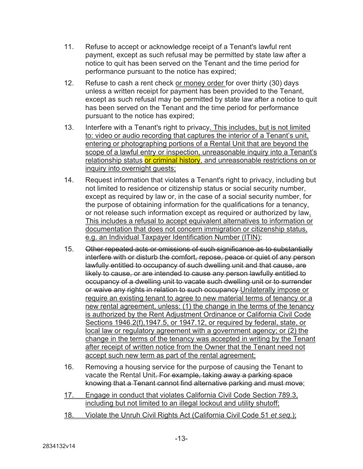- 11. Refuse to accept or acknowledge receipt of a Tenant's lawful rent payment, except as such refusal may be permitted by state law after a notice to quit has been served on the Tenant and the time period for performance pursuant to the notice has expired;
- 12. Refuse to cash a rent check or money order for over thirty (30) days unless a written receipt for payment has been provided to the Tenant, except as such refusal may be permitted by state law after a notice to quit has been served on the Tenant and the time period for performance pursuant to the notice has expired;
- 13. Interfere with a Tenant's right to privacy. This includes, but is not limited to: video or audio recording that captures the interior of a Tenant's unit, entering or photographing portions of a Rental Unit that are beyond the scope of a lawful entry or inspection, unreasonable inquiry into a Tenant's relationship status or criminal history, and unreasonable restrictions on or inquiry into overnight guests;
- 14. Request information that violates a Tenant's right to privacy, including but not limited to residence or citizenship status or social security number, except as required by law or, in the case of a social security number, for the purpose of obtaining information for the qualifications for a tenancy, or not release such information except as required or authorized by law. This includes a refusal to accept equivalent alternatives to information or documentation that does not concern immigration or citizenship status, e.g. an Individual Taxpayer Identification Number (ITIN);
- 15. Other repeated acts or omissions of such significance as to substantially interfere with or disturb the comfort, repose, peace or quiet of any person lawfully entitled to occupancy of such dwelling unit and that cause, are likely to cause, or are intended to cause any person lawfully entitled to occupancy of a dwelling unit to vacate such dwelling unit or to surrender or waive any rights in relation to such occupancy Unilaterally impose or require an existing tenant to agree to new material terms of tenancy or a new rental agreement, unless: (1) the change in the terms of the tenancy is authorized by the Rent Adjustment Ordinance or California Civil Code Sections 1946.2(f), 1947.5, or 1947.12, or required by federal, state, or local law or regulatory agreement with a government agency; or (2) the change in the terms of the tenancy was accepted in writing by the Tenant after receipt of written notice from the Owner that the Tenant need not accept such new term as part of the rental agreement;
- 16. Removing a housing service for the purpose of causing the Tenant to vacate the Rental Unit. For example, taking away a parking space knowing that a Tenant cannot find alternative parking and must move;
- 17. Engage in conduct that violates California Civil Code Section 789.3. including but not limited to an illegal lockout and utility shutoff;
- 18. Violate the Unruh Civil Rights Act (California Civil Code 51 *et seq.*);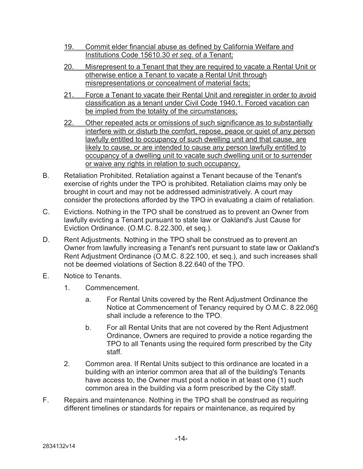- 19. Commit elder financial abuse as defined by California Welfare and Institutions Code 15610.30 *et seq.* of a Tenant;
- 20. Misrepresent to a Tenant that they are required to vacate a Rental Unit or otherwise entice a Tenant to vacate a Rental Unit through misrepresentations or concealment of material facts;
- 21. Force a Tenant to vacate their Rental Unit and reregister in order to avoid classification as a tenant under Civil Code 1940.1. Forced vacation can be implied from the totality of the circumstances;
- 22. Other repeated acts or omissions of such significance as to substantially interfere with or disturb the comfort, repose, peace or quiet of any person lawfully entitled to occupancy of such dwelling unit and that cause, are likely to cause, or are intended to cause any person lawfully entitled to occupancy of a dwelling unit to vacate such dwelling unit or to surrender or waive any rights in relation to such occupancy.
- B. Retaliation Prohibited. Retaliation against a Tenant because of the Tenant's exercise of rights under the TPO is prohibited. Retaliation claims may only be brought in court and may not be addressed administratively. A court may consider the protections afforded by the TPO in evaluating a claim of retaliation.
- C. Evictions. Nothing in the TPO shall be construed as to prevent an Owner from lawfully evicting a Tenant pursuant to state law or Oakland's Just Cause for Eviction Ordinance. (O.M.C. 8.22.300, et seq.).
- D. Rent Adjustments. Nothing in the TPO shall be construed as to prevent an Owner from lawfully increasing a Tenant's rent pursuant to state law or Oakland's Rent Adjustment Ordinance (O.M.C. 8.22.100, et seq.), and such increases shall not be deemed violations of Section 8.22.640 of the TPO.
- E. Notice to Tenants.
	- 1. Commencement.
		- a. For Rental Units covered by the Rent Adjustment Ordinance the Notice at Commencement of Tenancy required by O.M.C. 8.22.060 shall include a reference to the TPO.
		- b. For all Rental Units that are not covered by the Rent Adjustment Ordinance, Owners are required to provide a notice regarding the TPO to all Tenants using the required form prescribed by the City staff.
	- 2. Common area. If Rental Units subject to this ordinance are located in a building with an interior common area that all of the building's Tenants have access to, the Owner must post a notice in at least one (1) such common area in the building via a form prescribed by the City staff.
- F. Repairs and maintenance. Nothing in the TPO shall be construed as requiring different timelines or standards for repairs or maintenance, as required by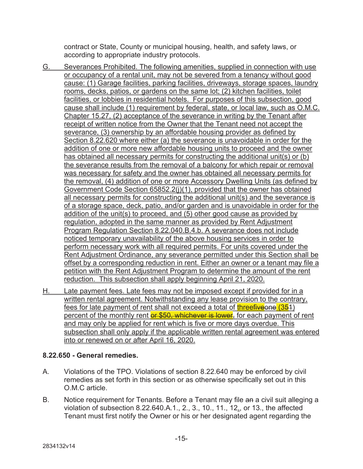contract or State, County or municipal housing, health, and safety laws, or according to appropriate industry protocols.

- G. Severances Prohibited. The following amenities, supplied in connection with use or occupancy of a rental unit, may not be severed from a tenancy without good cause: (1) Garage facilities, parking facilities, driveways, storage spaces, laundry rooms, decks, patios, or gardens on the same lot; (2) kitchen facilities, toilet facilities, or lobbies in residential hotels. For purposes of this subsection, good cause shall include (1) requirement by federal, state, or local law, such as O.M.C. Chapter 15.27, (2) acceptance of the severance in writing by the Tenant after receipt of written notice from the Owner that the Tenant need not accept the severance, (3) ownership by an affordable housing provider as defined by Section 8.22.620 where either (a) the severance is unavoidable in order for the addition of one or more new affordable housing units to proceed and the owner has obtained all necessary permits for constructing the additional unit(s) or (b) the severance results from the removal of a balcony for which repair or removal was necessary for safety and the owner has obtained all necessary permits for the removal, (4) addition of one or more Accessory Dwelling Units (as defined by Government Code Section 65852.2(j)(1), provided that the owner has obtained all necessary permits for constructing the additional unit(s) and the severance is of a storage space, deck, patio, and/or garden and is unavoidable in order for the addition of the unit(s) to proceed, and (5) other good cause as provided by regulation, adopted in the same manner as provided by Rent Adjustment Program Regulation Section 8.22.040.B.4.b. A severance does not include noticed temporary unavailability of the above housing services in order to perform necessary work with all required permits. For units covered under the Rent Adjustment Ordinance, any severance permitted under this Section shall be offset by a corresponding reduction in rent. Either an owner or a tenant may file a petition with the Rent Adjustment Program to determine the amount of the rent reduction. This subsection shall apply beginning April 21, 2020.
- H. Late payment fees. Late fees may not be imposed except if provided for in a written rental agreement. Notwithstanding any lease provision to the contrary, fees for late payment of rent shall not exceed a total of threefiveone (354) percent of the monthly rent or \$50, whichever is lower, for each payment of rent and may only be applied for rent which is five or more days overdue. This subsection shall only apply if the applicable written rental agreement was entered into or renewed on or after April 16, 2020.

## **8.22.650 - General remedies.**

- A. Violations of the TPO. Violations of section 8.22.640 may be enforced by civil remedies as set forth in this section or as otherwise specifically set out in this O.M.C article.
- B. Notice requirement for Tenants. Before a Tenant may file an a civil suit alleging a violation of subsection 8.22.640.A.1., 2., 3., 10., 11., 12., or 13., the affected Tenant must first notify the Owner or his or her designated agent regarding the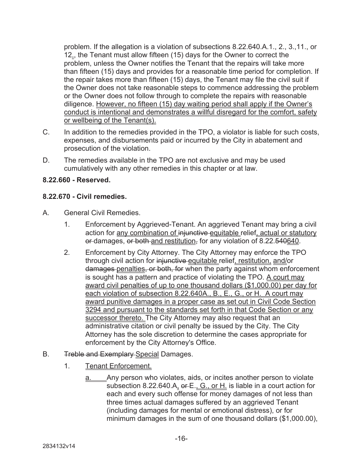problem. If the allegation is a violation of subsections 8.22.640.A.1., 2., 3.,11., or 12., the Tenant must allow fifteen (15) days for the Owner to correct the problem, unless the Owner notifies the Tenant that the repairs will take more than fifteen (15) days and provides for a reasonable time period for completion. If the repair takes more than fifteen (15) days, the Tenant may file the civil suit if the Owner does not take reasonable steps to commence addressing the problem or the Owner does not follow through to complete the repairs with reasonable diligence. However, no fifteen (15) day waiting period shall apply if the Owner's conduct is intentional and demonstrates a willful disregard for the comfort, safety or wellbeing of the Tenant(s).

- C. In addition to the remedies provided in the TPO, a violator is liable for such costs, expenses, and disbursements paid or incurred by the City in abatement and prosecution of the violation.
- D. The remedies available in the TPO are not exclusive and may be used cumulatively with any other remedies in this chapter or at law.

## **8.22.660 - Reserved.**

## **8.22.670 - Civil remedies.**

- A. General Civil Remedies.
	- 1. Enforcement by Aggrieved-Tenant. An aggrieved Tenant may bring a civil action for any combination of injunctive equitable relief, actual or statutory or damages, or both and restitution, for any violation of 8.22.540640.
	- 2. Enforcement by City Attorney. The City Attorney may enforce the TPO through civil action for injunctive equitable relief, restitution, and/or damages penalties, or both, for when the party against whom enforcement is sought has a pattern and practice of violating the TPO. A court may award civil penalties of up to one thousand dollars (\$1,000.00) per day for each violation of subsection 8.22.640A., B., E., G., or H. A court may award punitive damages in a proper case as set out in Civil Code Section 3294 and pursuant to the standards set forth in that Code Section or any successor thereto. The City Attorney may also request that an administrative citation or civil penalty be issued by the City. The City Attorney has the sole discretion to determine the cases appropriate for enforcement by the City Attorney's Office.
- B. Treble and Exemplary Special Damages.
	- 1. Tenant Enforcement.
		- Any person who violates, aids, or incites another person to violate subsection 8.22.640.A, or E., G., or H. is liable in a court action for each and every such offense for money damages of not less than three times actual damages suffered by an aggrieved Tenant (including damages for mental or emotional distress), or for minimum damages in the sum of one thousand dollars (\$1,000.00),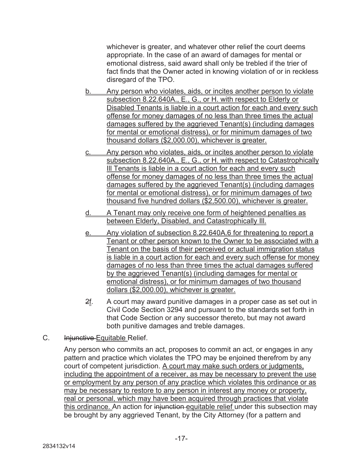whichever is greater, and whatever other relief the court deems appropriate. In the case of an award of damages for mental or emotional distress, said award shall only be trebled if the trier of fact finds that the Owner acted in knowing violation of or in reckless disregard of the TPO.

- b. Any person who violates, aids, or incites another person to violate subsection 8.22.640A., E., G., or H. with respect to Elderly or Disabled Tenants is liable in a court action for each and every such offense for money damages of no less than three times the actual damages suffered by the aggrieved Tenant(s) (including damages for mental or emotional distress), or for minimum damages of two thousand dollars (\$2,000.00), whichever is greater.
- c. Any person who violates, aids, or incites another person to violate subsection 8.22.640A., E., G., or H. with respect to Catastrophically Ill Tenants is liable in a court action for each and every such offense for money damages of no less than three times the actual damages suffered by the aggrieved Tenant(s) (including damages for mental or emotional distress), or for minimum damages of two thousand five hundred dollars (\$2,500.00), whichever is greater.
- d. A Tenant may only receive one form of heightened penalties as between Elderly, Disabled, and Catastrophically Ill.
- e. Any violation of subsection 8.22.640A.6 for threatening to report a Tenant or other person known to the Owner to be associated with a Tenant on the basis of their perceived or actual immigration status is liable in a court action for each and every such offense for money damages of no less than three times the actual damages suffered by the aggrieved Tenant(s) (including damages for mental or emotional distress), or for minimum damages of two thousand dollars (\$2,000.00), whichever is greater.
- $2f$ . A court may award punitive damages in a proper case as set out in Civil Code Section 3294 and pursuant to the standards set forth in that Code Section or any successor thereto, but may not award both punitive damages and treble damages.
- C. **Injunctive Equitable Relief.**

Any person who commits an act, proposes to commit an act, or engages in any pattern and practice which violates the TPO may be enjoined therefrom by any court of competent jurisdiction. A court may make such orders or judgments, including the appointment of a receiver, as may be necessary to prevent the use or employment by any person of any practice which violates this ordinance or as may be necessary to restore to any person in interest any money or property, real or personal, which may have been acquired through practices that violate this ordinance. An action for injunction equitable relief under this subsection may be brought by any aggrieved Tenant, by the City Attorney (for a pattern and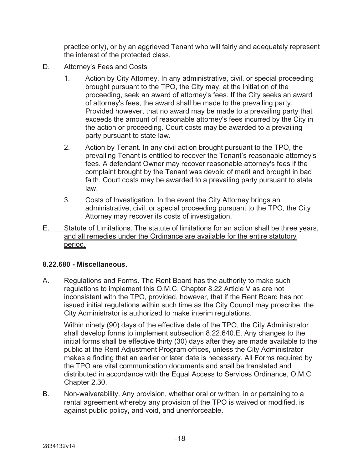practice only), or by an aggrieved Tenant who will fairly and adequately represent the interest of the protected class.

- D. Attorney's Fees and Costs
	- 1. Action by City Attorney. In any administrative, civil, or special proceeding brought pursuant to the TPO, the City may, at the initiation of the proceeding, seek an award of attorney's fees. If the City seeks an award of attorney's fees, the award shall be made to the prevailing party. Provided however, that no award may be made to a prevailing party that exceeds the amount of reasonable attorney's fees incurred by the City in the action or proceeding. Court costs may be awarded to a prevailing party pursuant to state law.
	- 2. Action by Tenant. In any civil action brought pursuant to the TPO, the prevailing Tenant is entitled to recover the Tenant's reasonable attorney's fees. A defendant Owner may recover reasonable attorney's fees if the complaint brought by the Tenant was devoid of merit and brought in bad faith. Court costs may be awarded to a prevailing party pursuant to state law.
	- 3. Costs of Investigation. In the event the City Attorney brings an administrative, civil, or special proceeding pursuant to the TPO, the City Attorney may recover its costs of investigation.
- E. Statute of Limitations. The statute of limitations for an action shall be three years, and all remedies under the Ordinance are available for the entire statutory period.

## **8.22.680 - Miscellaneous.**

A. Regulations and Forms. The Rent Board has the authority to make such regulations to implement this O.M.C. Chapter 8.22 Article V as are not inconsistent with the TPO, provided, however, that if the Rent Board has not issued initial regulations within such time as the City Council may proscribe, the City Administrator is authorized to make interim regulations.

Within ninety (90) days of the effective date of the TPO, the City Administrator shall develop forms to implement subsection 8.22.640.E. Any changes to the initial forms shall be effective thirty (30) days after they are made available to the public at the Rent Adjustment Program offices, unless the City Administrator makes a finding that an earlier or later date is necessary. All Forms required by the TPO are vital communication documents and shall be translated and distributed in accordance with the Equal Access to Services Ordinance, O.M.C Chapter 2.30.

B. Non-waiverability. Any provision, whether oral or written, in or pertaining to a rental agreement whereby any provision of the TPO is waived or modified, is against public policy, and void, and unenforceable.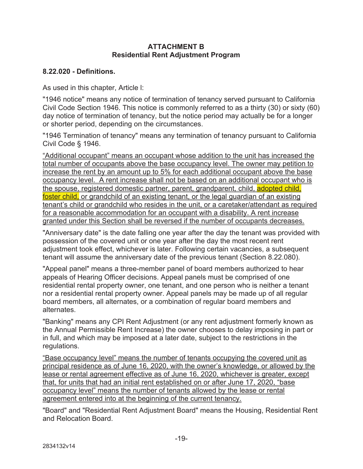#### **ATTACHMENT B Residential Rent Adjustment Program**

## **8.22.020 - Definitions.**

As used in this chapter, Article l:

"1946 notice" means any notice of termination of tenancy served pursuant to California Civil Code Section 1946. This notice is commonly referred to as a thirty (30) or sixty (60) day notice of termination of tenancy, but the notice period may actually be for a longer or shorter period, depending on the circumstances.

"1946 Termination of tenancy" means any termination of tenancy pursuant to California Civil Code § 1946.

"Additional occupant" means an occupant whose addition to the unit has increased the total number of occupants above the base occupancy level. The owner may petition to increase the rent by an amount up to 5% for each additional occupant above the base occupancy level. A rent increase shall not be based on an additional occupant who is the spouse, registered domestic partner, parent, grandparent, child, adopted child, foster child, or grandchild of an existing tenant, or the legal guardian of an existing tenant's child or grandchild who resides in the unit, or a caretaker/attendant as required for a reasonable accommodation for an occupant with a disability. A rent increase granted under this Section shall be reversed if the number of occupants decreases.

"Anniversary date" is the date falling one year after the day the tenant was provided with possession of the covered unit or one year after the day the most recent rent adjustment took effect, whichever is later. Following certain vacancies, a subsequent tenant will assume the anniversary date of the previous tenant (Section 8.22.080).

"Appeal panel" means a three-member panel of board members authorized to hear appeals of Hearing Officer decisions. Appeal panels must be comprised of one residential rental property owner, one tenant, and one person who is neither a tenant nor a residential rental property owner. Appeal panels may be made up of all regular board members, all alternates, or a combination of regular board members and alternates.

"Banking" means any CPI Rent Adjustment (or any rent adjustment formerly known as the Annual Permissible Rent Increase) the owner chooses to delay imposing in part or in full, and which may be imposed at a later date, subject to the restrictions in the regulations.

"Base occupancy level" means the number of tenants occupying the covered unit as principal residence as of June 16, 2020, with the owner's knowledge, or allowed by the lease or rental agreement effective as of June 16, 2020, whichever is greater, except that, for units that had an initial rent established on or after June 17, 2020, "base occupancy level" means the number of tenants allowed by the lease or rental agreement entered into at the beginning of the current tenancy.

"Board" and "Residential Rent Adjustment Board" means the Housing, Residential Rent and Relocation Board.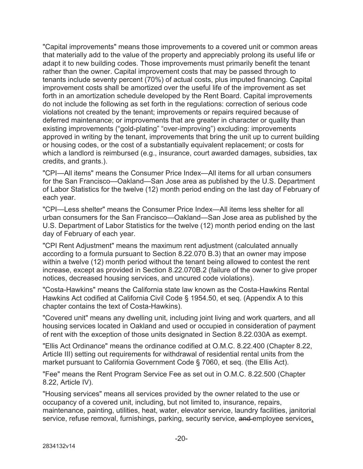"Capital improvements" means those improvements to a covered unit or common areas that materially add to the value of the property and appreciably prolong its useful life or adapt it to new building codes. Those improvements must primarily benefit the tenant rather than the owner. Capital improvement costs that may be passed through to tenants include seventy percent (70%) of actual costs, plus imputed financing. Capital improvement costs shall be amortized over the useful life of the improvement as set forth in an amortization schedule developed by the Rent Board. Capital improvements do not include the following as set forth in the regulations: correction of serious code violations not created by the tenant; improvements or repairs required because of deferred maintenance; or improvements that are greater in character or quality than existing improvements ("gold-plating" "over-improving") excluding: improvements approved in writing by the tenant, improvements that bring the unit up to current building or housing codes, or the cost of a substantially equivalent replacement; or costs for which a landlord is reimbursed (e.g., insurance, court awarded damages, subsidies, tax credits, and grants.).

"CPI—All items" means the Consumer Price Index—All items for all urban consumers for the San Francisco—Oakland—San Jose area as published by the U.S. Department of Labor Statistics for the twelve (12) month period ending on the last day of February of each year.

"CPI—Less shelter" means the Consumer Price Index—All items less shelter for all urban consumers for the San Francisco—Oakland—San Jose area as published by the U.S. Department of Labor Statistics for the twelve (12) month period ending on the last day of February of each year.

"CPI Rent Adjustment" means the maximum rent adjustment (calculated annually according to a formula pursuant to Section 8.22.070 B.3) that an owner may impose within a twelve (12) month period without the tenant being allowed to contest the rent increase, except as provided in Section 8.22.070B.2 (failure of the owner to give proper notices, decreased housing services, and uncured code violations).

"Costa-Hawkins" means the California state law known as the Costa-Hawkins Rental Hawkins Act codified at California Civil Code § 1954.50, et seq. (Appendix A to this chapter contains the text of Costa-Hawkins).

"Covered unit" means any dwelling unit, including joint living and work quarters, and all housing services located in Oakland and used or occupied in consideration of payment of rent with the exception of those units designated in Section 8.22.030A as exempt.

"Ellis Act Ordinance" means the ordinance codified at O.M.C. 8.22.400 (Chapter 8.22, Article III) setting out requirements for withdrawal of residential rental units from the market pursuant to California Government Code § 7060, et seq. (the Ellis Act).

"Fee" means the Rent Program Service Fee as set out in O.M.C. 8.22.500 (Chapter 8.22, Article IV).

"Housing services" means all services provided by the owner related to the use or occupancy of a covered unit, including, but not limited to, insurance, repairs, maintenance, painting, utilities, heat, water, elevator service, laundry facilities, janitorial service, refuse removal, furnishings, parking, security service, and employee services,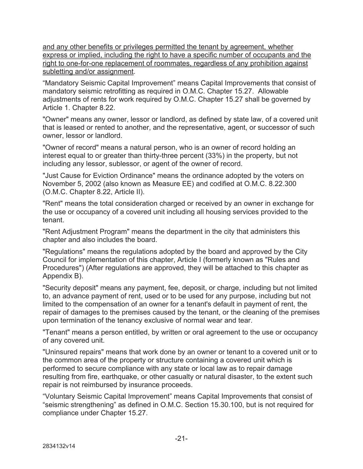and any other benefits or privileges permitted the tenant by agreement, whether express or implied, including the right to have a specific number of occupants and the right to one-for-one replacement of roommates, regardless of any prohibition against subletting and/or assignment.

"Mandatory Seismic Capital Improvement" means Capital Improvements that consist of mandatory seismic retrofitting as required in O.M.C. Chapter 15.27. Allowable adjustments of rents for work required by O.M.C. Chapter 15.27 shall be governed by Article 1. Chapter 8.22.

"Owner" means any owner, lessor or landlord, as defined by state law, of a covered unit that is leased or rented to another, and the representative, agent, or successor of such owner, lessor or landlord.

"Owner of record" means a natural person, who is an owner of record holding an interest equal to or greater than thirty-three percent (33%) in the property, but not including any lessor, sublessor, or agent of the owner of record.

"Just Cause for Eviction Ordinance" means the ordinance adopted by the voters on November 5, 2002 (also known as Measure EE) and codified at O.M.C. 8.22.300 (O.M.C. Chapter 8.22, Article II).

"Rent" means the total consideration charged or received by an owner in exchange for the use or occupancy of a covered unit including all housing services provided to the tenant.

"Rent Adjustment Program" means the department in the city that administers this chapter and also includes the board.

"Regulations" means the regulations adopted by the board and approved by the City Council for implementation of this chapter, Article I (formerly known as "Rules and Procedures") (After regulations are approved, they will be attached to this chapter as Appendix B).

"Security deposit" means any payment, fee, deposit, or charge, including but not limited to, an advance payment of rent, used or to be used for any purpose, including but not limited to the compensation of an owner for a tenant's default in payment of rent, the repair of damages to the premises caused by the tenant, or the cleaning of the premises upon termination of the tenancy exclusive of normal wear and tear.

"Tenant" means a person entitled, by written or oral agreement to the use or occupancy of any covered unit.

"Uninsured repairs" means that work done by an owner or tenant to a covered unit or to the common area of the property or structure containing a covered unit which is performed to secure compliance with any state or local law as to repair damage resulting from fire, earthquake, or other casualty or natural disaster, to the extent such repair is not reimbursed by insurance proceeds.

"Voluntary Seismic Capital Improvement" means Capital Improvements that consist of "seismic strengthening" as defined in O.M.C. Section 15.30.100, but is not required for compliance under Chapter 15.27.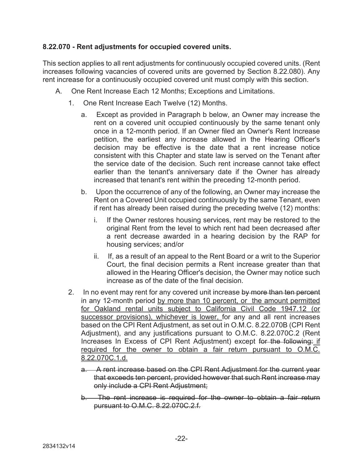## **8.22.070 - Rent adjustments for occupied covered units.**

This section applies to all rent adjustments for continuously occupied covered units. (Rent increases following vacancies of covered units are governed by Section 8.22.080). Any rent increase for a continuously occupied covered unit must comply with this section.

- A. One Rent Increase Each 12 Months; Exceptions and Limitations.
	- 1. One Rent Increase Each Twelve (12) Months.
		- a. Except as provided in Paragraph b below, an Owner may increase the rent on a covered unit occupied continuously by the same tenant only once in a 12-month period. If an Owner filed an Owner's Rent Increase petition, the earliest any increase allowed in the Hearing Officer's decision may be effective is the date that a rent increase notice consistent with this Chapter and state law is served on the Tenant after the service date of the decision. Such rent increase cannot take effect earlier than the tenant's anniversary date if the Owner has already increased that tenant's rent within the preceding 12-month period.
		- b. Upon the occurrence of any of the following, an Owner may increase the Rent on a Covered Unit occupied continuously by the same Tenant, even if rent has already been raised during the preceding twelve (12) months:
			- i. If the Owner restores housing services, rent may be restored to the original Rent from the level to which rent had been decreased after a rent decrease awarded in a hearing decision by the RAP for housing services; and/or
			- ii. If, as a result of an appeal to the Rent Board or a writ to the Superior Court, the final decision permits a Rent increase greater than that allowed in the Hearing Officer's decision, the Owner may notice such increase as of the date of the final decision.
	- 2. In no event may rent for any covered unit increase by more than ten percent in any 12-month period by more than 10 percent, or the amount permitted for Oakland rental units subject to California Civil Code 1947.12 (or successor provisions), whichever is lower, for any and all rent increases based on the CPI Rent Adjustment, as set out in O.M.C. 8.22.070B (CPI Rent Adjustment), and any justifications pursuant to O.M.C. 8.22.070C.2 (Rent Increases In Excess of CPI Rent Adjustment) except for the following: if required for the owner to obtain a fair return pursuant to O.M.C. 8.22.070C.1.d.
		- a. A rent increase based on the CPI Rent Adjustment for the current year that exceeds ten percent, provided however that such Rent increase may only include a CPI Rent Adjustment;
		- b. The rent increase is required for the owner to obtain a fair return pursuant to O.M.C. 8.22.070C.2.f.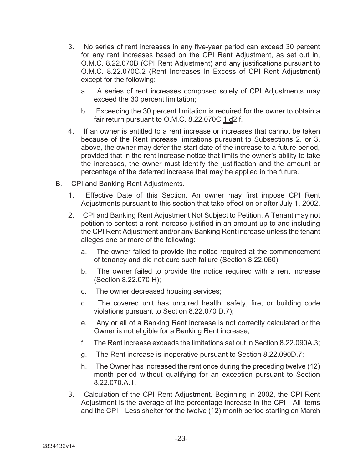- 3. No series of rent increases in any five-year period can exceed 30 percent for any rent increases based on the CPI Rent Adjustment, as set out in, O.M.C. 8.22.070B (CPI Rent Adjustment) and any justifications pursuant to O.M.C. 8.22.070C.2 (Rent Increases In Excess of CPI Rent Adjustment) except for the following:
	- a. A series of rent increases composed solely of CPI Adjustments may exceed the 30 percent limitation;
	- b. Exceeding the 30 percent limitation is required for the owner to obtain a fair return pursuant to O.M.C. 8.22.070C.1.d2.f.
- 4. If an owner is entitled to a rent increase or increases that cannot be taken because of the Rent increase limitations pursuant to Subsections 2. or 3. above, the owner may defer the start date of the increase to a future period, provided that in the rent increase notice that limits the owner's ability to take the increases, the owner must identify the justification and the amount or percentage of the deferred increase that may be applied in the future.
- B. CPI and Banking Rent Adjustments.
	- 1. Effective Date of this Section. An owner may first impose CPI Rent Adjustments pursuant to this section that take effect on or after July 1, 2002.
	- 2. CPI and Banking Rent Adjustment Not Subject to Petition. A Tenant may not petition to contest a rent increase justified in an amount up to and including the CPI Rent Adjustment and/or any Banking Rent increase unless the tenant alleges one or more of the following:
		- a. The owner failed to provide the notice required at the commencement of tenancy and did not cure such failure (Section 8.22.060);
		- b. The owner failed to provide the notice required with a rent increase (Section 8.22.070 H);
		- c. The owner decreased housing services;
		- d. The covered unit has uncured health, safety, fire, or building code violations pursuant to Section 8.22.070 D.7);
		- e. Any or all of a Banking Rent increase is not correctly calculated or the Owner is not eligible for a Banking Rent increase;
		- f. The Rent increase exceeds the limitations set out in Section 8.22.090A.3;
		- g. The Rent increase is inoperative pursuant to Section 8.22.090D.7;
		- h. The Owner has increased the rent once during the preceding twelve (12) month period without qualifying for an exception pursuant to Section 8.22.070.A.1.
	- 3. Calculation of the CPI Rent Adjustment. Beginning in 2002, the CPI Rent Adjustment is the average of the percentage increase in the CPI—All items and the CPI—Less shelter for the twelve (12) month period starting on March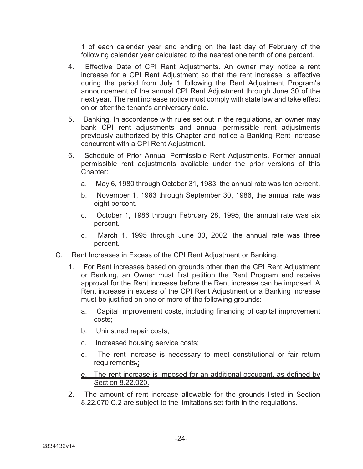1 of each calendar year and ending on the last day of February of the following calendar year calculated to the nearest one tenth of one percent.

- 4. Effective Date of CPI Rent Adjustments. An owner may notice a rent increase for a CPI Rent Adjustment so that the rent increase is effective during the period from July 1 following the Rent Adjustment Program's announcement of the annual CPI Rent Adjustment through June 30 of the next year. The rent increase notice must comply with state law and take effect on or after the tenant's anniversary date.
- 5. Banking. In accordance with rules set out in the regulations, an owner may bank CPI rent adjustments and annual permissible rent adjustments previously authorized by this Chapter and notice a Banking Rent increase concurrent with a CPI Rent Adjustment.
- 6. Schedule of Prior Annual Permissible Rent Adjustments. Former annual permissible rent adjustments available under the prior versions of this Chapter:
	- a. May 6, 1980 through October 31, 1983, the annual rate was ten percent.
	- b. November 1, 1983 through September 30, 1986, the annual rate was eight percent.
	- c. October 1, 1986 through February 28, 1995, the annual rate was six percent.
	- d. March 1, 1995 through June 30, 2002, the annual rate was three percent.
- C. Rent Increases in Excess of the CPI Rent Adjustment or Banking.
	- 1. For Rent increases based on grounds other than the CPI Rent Adjustment or Banking, an Owner must first petition the Rent Program and receive approval for the Rent increase before the Rent increase can be imposed. A Rent increase in excess of the CPI Rent Adjustment or a Banking increase must be justified on one or more of the following grounds:
		- a. Capital improvement costs, including financing of capital improvement costs;
		- b. Uninsured repair costs;
		- c. Increased housing service costs;
		- d. The rent increase is necessary to meet constitutional or fair return requirements.;
		- e. The rent increase is imposed for an additional occupant, as defined by Section 8.22.020.
	- 2. The amount of rent increase allowable for the grounds listed in Section 8.22.070 C.2 are subject to the limitations set forth in the regulations.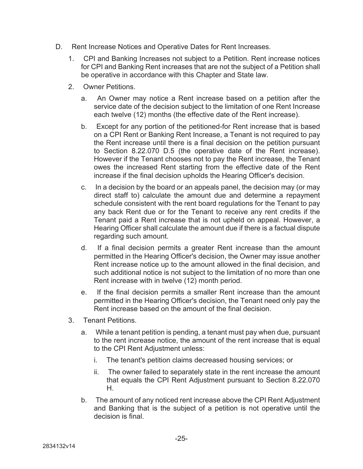- D. Rent Increase Notices and Operative Dates for Rent Increases.
	- 1. CPI and Banking Increases not subject to a Petition. Rent increase notices for CPI and Banking Rent increases that are not the subject of a Petition shall be operative in accordance with this Chapter and State law.
	- 2. Owner Petitions.
		- a. An Owner may notice a Rent increase based on a petition after the service date of the decision subject to the limitation of one Rent Increase each twelve (12) months (the effective date of the Rent increase).
		- b. Except for any portion of the petitioned-for Rent increase that is based on a CPI Rent or Banking Rent Increase, a Tenant is not required to pay the Rent increase until there is a final decision on the petition pursuant to Section 8.22.070 D.5 (the operative date of the Rent increase). However if the Tenant chooses not to pay the Rent increase, the Tenant owes the increased Rent starting from the effective date of the Rent increase if the final decision upholds the Hearing Officer's decision.
		- c. In a decision by the board or an appeals panel, the decision may (or may direct staff to) calculate the amount due and determine a repayment schedule consistent with the rent board regulations for the Tenant to pay any back Rent due or for the Tenant to receive any rent credits if the Tenant paid a Rent increase that is not upheld on appeal. However, a Hearing Officer shall calculate the amount due if there is a factual dispute regarding such amount.
		- d. If a final decision permits a greater Rent increase than the amount permitted in the Hearing Officer's decision, the Owner may issue another Rent increase notice up to the amount allowed in the final decision, and such additional notice is not subject to the limitation of no more than one Rent increase with in twelve (12) month period.
		- e. If the final decision permits a smaller Rent increase than the amount permitted in the Hearing Officer's decision, the Tenant need only pay the Rent increase based on the amount of the final decision.
	- 3. Tenant Petitions.
		- a. While a tenant petition is pending, a tenant must pay when due, pursuant to the rent increase notice, the amount of the rent increase that is equal to the CPI Rent Adjustment unless:
			- i. The tenant's petition claims decreased housing services; or
			- ii. The owner failed to separately state in the rent increase the amount that equals the CPI Rent Adjustment pursuant to Section 8.22.070 H.
		- b. The amount of any noticed rent increase above the CPI Rent Adjustment and Banking that is the subject of a petition is not operative until the decision is final.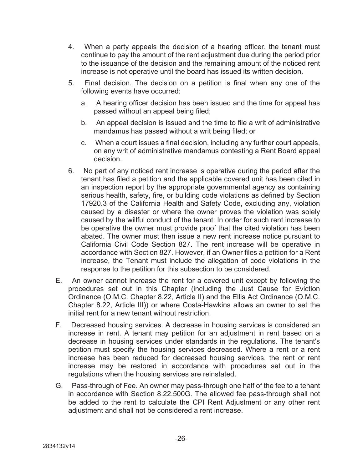- 4. When a party appeals the decision of a hearing officer, the tenant must continue to pay the amount of the rent adjustment due during the period prior to the issuance of the decision and the remaining amount of the noticed rent increase is not operative until the board has issued its written decision.
- 5. Final decision. The decision on a petition is final when any one of the following events have occurred:
	- a. A hearing officer decision has been issued and the time for appeal has passed without an appeal being filed;
	- b. An appeal decision is issued and the time to file a writ of administrative mandamus has passed without a writ being filed; or
	- c. When a court issues a final decision, including any further court appeals, on any writ of administrative mandamus contesting a Rent Board appeal decision.
- 6. No part of any noticed rent increase is operative during the period after the tenant has filed a petition and the applicable covered unit has been cited in an inspection report by the appropriate governmental agency as containing serious health, safety, fire, or building code violations as defined by Section 17920.3 of the California Health and Safety Code, excluding any, violation caused by a disaster or where the owner proves the violation was solely caused by the willful conduct of the tenant. In order for such rent increase to be operative the owner must provide proof that the cited violation has been abated. The owner must then issue a new rent increase notice pursuant to California Civil Code Section 827. The rent increase will be operative in accordance with Section 827. However, if an Owner files a petition for a Rent increase, the Tenant must include the allegation of code violations in the response to the petition for this subsection to be considered.
- E. An owner cannot increase the rent for a covered unit except by following the procedures set out in this Chapter (including the Just Cause for Eviction Ordinance (O.M.C. Chapter 8.22, Article II) and the Ellis Act Ordinance (O.M.C. Chapter 8.22, Article III)) or where Costa-Hawkins allows an owner to set the initial rent for a new tenant without restriction.
- F. Decreased housing services. A decrease in housing services is considered an increase in rent. A tenant may petition for an adjustment in rent based on a decrease in housing services under standards in the regulations. The tenant's petition must specify the housing services decreased. Where a rent or a rent increase has been reduced for decreased housing services, the rent or rent increase may be restored in accordance with procedures set out in the regulations when the housing services are reinstated.
- G. Pass-through of Fee. An owner may pass-through one half of the fee to a tenant in accordance with Section 8.22.500G. The allowed fee pass-through shall not be added to the rent to calculate the CPI Rent Adjustment or any other rent adjustment and shall not be considered a rent increase.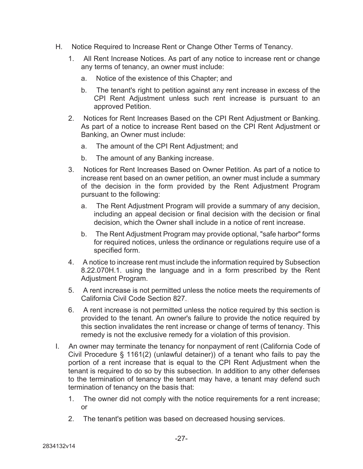- H. Notice Required to Increase Rent or Change Other Terms of Tenancy.
	- 1. All Rent Increase Notices. As part of any notice to increase rent or change any terms of tenancy, an owner must include:
		- a. Notice of the existence of this Chapter; and
		- b. The tenant's right to petition against any rent increase in excess of the CPI Rent Adjustment unless such rent increase is pursuant to an approved Petition.
	- 2. Notices for Rent Increases Based on the CPI Rent Adjustment or Banking. As part of a notice to increase Rent based on the CPI Rent Adjustment or Banking, an Owner must include:
		- a. The amount of the CPI Rent Adjustment; and
		- b. The amount of any Banking increase.
	- 3. Notices for Rent Increases Based on Owner Petition. As part of a notice to increase rent based on an owner petition, an owner must include a summary of the decision in the form provided by the Rent Adjustment Program pursuant to the following:
		- a. The Rent Adjustment Program will provide a summary of any decision, including an appeal decision or final decision with the decision or final decision, which the Owner shall include in a notice of rent increase.
		- b. The Rent Adjustment Program may provide optional, "safe harbor" forms for required notices, unless the ordinance or regulations require use of a specified form.
	- 4. A notice to increase rent must include the information required by Subsection 8.22.070H.1. using the language and in a form prescribed by the Rent Adjustment Program.
	- 5. A rent increase is not permitted unless the notice meets the requirements of California Civil Code Section 827.
	- 6. A rent increase is not permitted unless the notice required by this section is provided to the tenant. An owner's failure to provide the notice required by this section invalidates the rent increase or change of terms of tenancy. This remedy is not the exclusive remedy for a violation of this provision.
- I. An owner may terminate the tenancy for nonpayment of rent (California Code of Civil Procedure § 1161(2) (unlawful detainer)) of a tenant who fails to pay the portion of a rent increase that is equal to the CPI Rent Adjustment when the tenant is required to do so by this subsection. In addition to any other defenses to the termination of tenancy the tenant may have, a tenant may defend such termination of tenancy on the basis that:
	- 1. The owner did not comply with the notice requirements for a rent increase; or
	- 2. The tenant's petition was based on decreased housing services.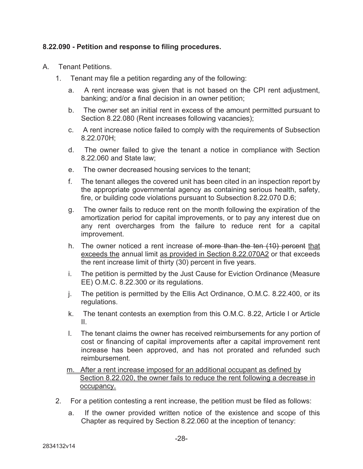## **8.22.090 - Petition and response to filing procedures.**

- A. Tenant Petitions.
	- 1. Tenant may file a petition regarding any of the following:
		- a. A rent increase was given that is not based on the CPI rent adjustment, banking; and/or a final decision in an owner petition;
		- b. The owner set an initial rent in excess of the amount permitted pursuant to Section 8.22.080 (Rent increases following vacancies);
		- c. A rent increase notice failed to comply with the requirements of Subsection 8.22.070H;
		- d. The owner failed to give the tenant a notice in compliance with Section 8.22.060 and State law;
		- e. The owner decreased housing services to the tenant;
		- f. The tenant alleges the covered unit has been cited in an inspection report by the appropriate governmental agency as containing serious health, safety, fire, or building code violations pursuant to Subsection 8.22.070 D.6;
		- g. The owner fails to reduce rent on the month following the expiration of the amortization period for capital improvements, or to pay any interest due on any rent overcharges from the failure to reduce rent for a capital improvement.
		- h. The owner noticed a rent increase of more than the ten (10) percent that exceeds the annual limit as provided in Section 8.22.070A2 or that exceeds the rent increase limit of thirty (30) percent in five years.
		- i. The petition is permitted by the Just Cause for Eviction Ordinance (Measure EE) O.M.C. 8.22.300 or its regulations.
		- j. The petition is permitted by the Ellis Act Ordinance, O.M.C. 8.22.400, or its regulations.
		- k. The tenant contests an exemption from this O.M.C. 8.22, Article I or Article II.
		- l. The tenant claims the owner has received reimbursements for any portion of cost or financing of capital improvements after a capital improvement rent increase has been approved, and has not prorated and refunded such reimbursement.
		- m. After a rent increase imposed for an additional occupant as defined by Section 8.22.020, the owner fails to reduce the rent following a decrease in occupancy.
	- 2. For a petition contesting a rent increase, the petition must be filed as follows:
		- a. If the owner provided written notice of the existence and scope of this Chapter as required by Section 8.22.060 at the inception of tenancy: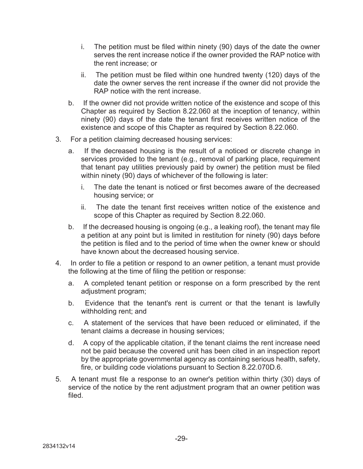- i. The petition must be filed within ninety (90) days of the date the owner serves the rent increase notice if the owner provided the RAP notice with the rent increase; or
- ii. The petition must be filed within one hundred twenty (120) days of the date the owner serves the rent increase if the owner did not provide the RAP notice with the rent increase.
- b. If the owner did not provide written notice of the existence and scope of this Chapter as required by Section 8.22.060 at the inception of tenancy, within ninety (90) days of the date the tenant first receives written notice of the existence and scope of this Chapter as required by Section 8.22.060.
- 3. For a petition claiming decreased housing services:
	- a. If the decreased housing is the result of a noticed or discrete change in services provided to the tenant (e.g., removal of parking place, requirement that tenant pay utilities previously paid by owner) the petition must be filed within ninety (90) days of whichever of the following is later:
		- i. The date the tenant is noticed or first becomes aware of the decreased housing service; or
		- ii. The date the tenant first receives written notice of the existence and scope of this Chapter as required by Section 8.22.060.
	- b. If the decreased housing is ongoing (e.g., a leaking roof), the tenant may file a petition at any point but is limited in restitution for ninety (90) days before the petition is filed and to the period of time when the owner knew or should have known about the decreased housing service.
- 4. In order to file a petition or respond to an owner petition, a tenant must provide the following at the time of filing the petition or response:
	- a. A completed tenant petition or response on a form prescribed by the rent adjustment program;
	- b. Evidence that the tenant's rent is current or that the tenant is lawfully withholding rent; and
	- c. A statement of the services that have been reduced or eliminated, if the tenant claims a decrease in housing services;
	- d. A copy of the applicable citation, if the tenant claims the rent increase need not be paid because the covered unit has been cited in an inspection report by the appropriate governmental agency as containing serious health, safety, fire, or building code violations pursuant to Section 8.22.070D.6.
- 5. A tenant must file a response to an owner's petition within thirty (30) days of service of the notice by the rent adjustment program that an owner petition was filed.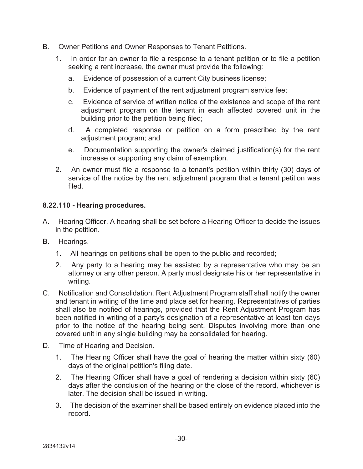- B. Owner Petitions and Owner Responses to Tenant Petitions.
	- 1. In order for an owner to file a response to a tenant petition or to file a petition seeking a rent increase, the owner must provide the following:
		- a. Evidence of possession of a current City business license;
		- b. Evidence of payment of the rent adjustment program service fee;
		- c. Evidence of service of written notice of the existence and scope of the rent adjustment program on the tenant in each affected covered unit in the building prior to the petition being filed;
		- d. A completed response or petition on a form prescribed by the rent adjustment program; and
		- e. Documentation supporting the owner's claimed justification(s) for the rent increase or supporting any claim of exemption.
	- 2. An owner must file a response to a tenant's petition within thirty (30) days of service of the notice by the rent adjustment program that a tenant petition was filed.

## **8.22.110 - Hearing procedures.**

- A. Hearing Officer. A hearing shall be set before a Hearing Officer to decide the issues in the petition.
- B. Hearings.
	- 1. All hearings on petitions shall be open to the public and recorded;
	- 2. Any party to a hearing may be assisted by a representative who may be an attorney or any other person. A party must designate his or her representative in writing.
- C. Notification and Consolidation. Rent Adjustment Program staff shall notify the owner and tenant in writing of the time and place set for hearing. Representatives of parties shall also be notified of hearings, provided that the Rent Adjustment Program has been notified in writing of a party's designation of a representative at least ten days prior to the notice of the hearing being sent. Disputes involving more than one covered unit in any single building may be consolidated for hearing.
- D. Time of Hearing and Decision.
	- 1. The Hearing Officer shall have the goal of hearing the matter within sixty (60) days of the original petition's filing date.
	- 2. The Hearing Officer shall have a goal of rendering a decision within sixty (60) days after the conclusion of the hearing or the close of the record, whichever is later. The decision shall be issued in writing.
	- 3. The decision of the examiner shall be based entirely on evidence placed into the record.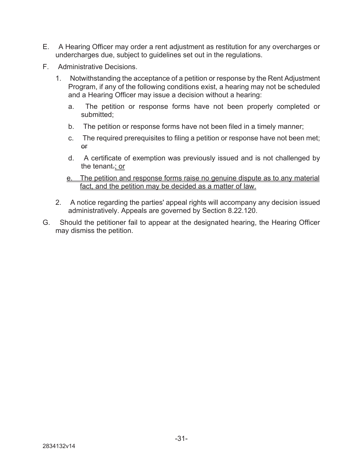- E. A Hearing Officer may order a rent adjustment as restitution for any overcharges or undercharges due, subject to guidelines set out in the regulations.
- F. Administrative Decisions.
	- 1. Notwithstanding the acceptance of a petition or response by the Rent Adjustment Program, if any of the following conditions exist, a hearing may not be scheduled and a Hearing Officer may issue a decision without a hearing:
		- a. The petition or response forms have not been properly completed or submitted;
		- b. The petition or response forms have not been filed in a timely manner;
		- c. The required prerequisites to filing a petition or response have not been met; or
		- d. A certificate of exemption was previously issued and is not challenged by the tenant.; or
		- e. The petition and response forms raise no genuine dispute as to any material fact, and the petition may be decided as a matter of law.
	- 2. A notice regarding the parties' appeal rights will accompany any decision issued administratively. Appeals are governed by Section 8.22.120.
- G. Should the petitioner fail to appear at the designated hearing, the Hearing Officer may dismiss the petition.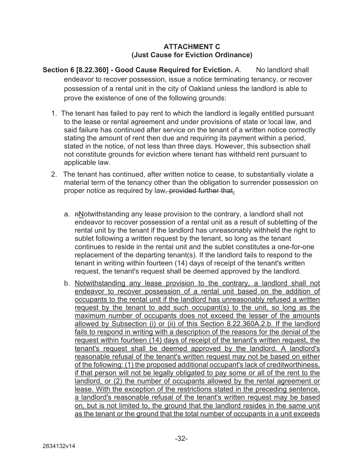#### **ATTACHMENT C (Just Cause for Eviction Ordinance)**

- **Section 6 [8.22.360] Good Cause Required for Eviction. A. No landlord shall** endeavor to recover possession, issue a notice terminating tenancy, or recover possession of a rental unit in the city of Oakland unless the landlord is able to prove the existence of one of the following grounds:
	- 1. The tenant has failed to pay rent to which the landlord is legally entitled pursuant to the lease or rental agreement and under provisions of state or local law, and said failure has continued after service on the tenant of a written notice correctly stating the amount of rent then due and requiring its payment within a period, stated in the notice, of not less than three days. However, this subsection shall not constitute grounds for eviction where tenant has withheld rent pursuant to applicable law.
	- 2. The tenant has continued, after written notice to cease, to substantially violate a material term of the tenancy other than the obligation to surrender possession on proper notice as required by law, provided further that.
		- a.  $n\Delta$  potwithstanding any lease provision to the contrary, a landlord shall not endeavor to recover possession of a rental unit as a result of subletting of the rental unit by the tenant if the landlord has unreasonably withheld the right to sublet following a written request by the tenant, so long as the tenant continues to reside in the rental unit and the sublet constitutes a one-for-one replacement of the departing tenant(s). If the landlord fails to respond to the tenant in writing within fourteen (14) days of receipt of the tenant's written request, the tenant's request shall be deemed approved by the landlord.
		- b. Notwithstanding any lease provision to the contrary, a landlord shall not endeavor to recover possession of a rental unit based on the addition of occupants to the rental unit if the landlord has unreasonably refused a written request by the tenant to add such occupant(s) to the unit, so long as the maximum number of occupants does not exceed the lesser of the amounts allowed by Subsection (i) or (ii) of this Section 8.22.360A.2.b. If the landlord fails to respond in writing with a description of the reasons for the denial of the request within fourteen (14) days of receipt of the tenant's written request, the tenant's request shall be deemed approved by the landlord. A landlord's reasonable refusal of the tenant's written request may not be based on either of the following: (1) the proposed additional occupant's lack of creditworthiness, if that person will not be legally obligated to pay some or all of the rent to the landlord, or (2) the number of occupants allowed by the rental agreement or lease. With the exception of the restrictions stated in the preceding sentence, a landlord's reasonable refusal of the tenant's written request may be based on, but is not limited to, the ground that the landlord resides in the same unit as the tenant or the ground that the total number of occupants in a unit exceeds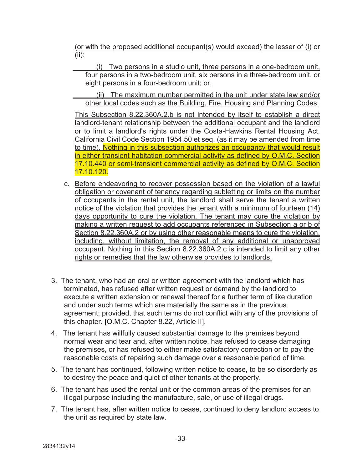(or with the proposed additional occupant(s) would exceed) the lesser of (i) or (ii):

 (i) Two persons in a studio unit, three persons in a one-bedroom unit, four persons in a two-bedroom unit, six persons in a three-bedroom unit, or eight persons in a four-bedroom unit; or,

 (ii) The maximum number permitted in the unit under state law and/or other local codes such as the Building, Fire, Housing and Planning Codes.

This Subsection 8.22.360A.2.b is not intended by itself to establish a direct landlord-tenant relationship between the additional occupant and the landlord or to limit a landlord's rights under the Costa-Hawkins Rental Housing Act, California Civil Code Section 1954.50 et seq. (as it may be amended from time to time). Nothing in this subsection authorizes an occupancy that would result in either transient habitation commercial activity as defined by O.M.C. Section 17.10.440 or semi-transient commercial activity as defined by O.M.C. Section 17.10.120.

- c. Before endeavoring to recover possession based on the violation of a lawful obligation or covenant of tenancy regarding subletting or limits on the number of occupants in the rental unit, the landlord shall serve the tenant a written notice of the violation that provides the tenant with a minimum of fourteen (14) days opportunity to cure the violation. The tenant may cure the violation by making a written request to add occupants referenced in Subsection a or b of Section 8.22.360A.2 or by using other reasonable means to cure the violation, including, without limitation, the removal of any additional or unapproved occupant. Nothing in this Section 8.22.360A.2.c is intended to limit any other rights or remedies that the law otherwise provides to landlords.
- 3. The tenant, who had an oral or written agreement with the landlord which has terminated, has refused after written request or demand by the landlord to execute a written extension or renewal thereof for a further term of like duration and under such terms which are materially the same as in the previous agreement; provided, that such terms do not conflict with any of the provisions of this chapter. [O.M.C. Chapter 8.22, Article II].
- 4. The tenant has willfully caused substantial damage to the premises beyond normal wear and tear and, after written notice, has refused to cease damaging the premises, or has refused to either make satisfactory correction or to pay the reasonable costs of repairing such damage over a reasonable period of time.
- 5. The tenant has continued, following written notice to cease, to be so disorderly as to destroy the peace and quiet of other tenants at the property.
- 6. The tenant has used the rental unit or the common areas of the premises for an illegal purpose including the manufacture, sale, or use of illegal drugs.
- 7. The tenant has, after written notice to cease, continued to deny landlord access to the unit as required by state law.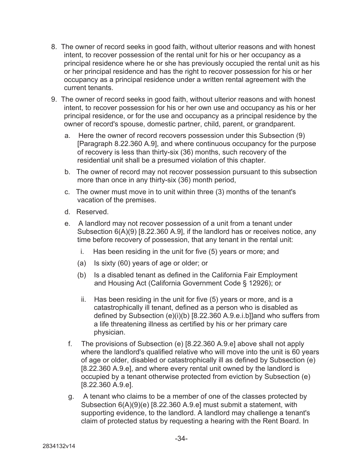- 8. The owner of record seeks in good faith, without ulterior reasons and with honest intent, to recover possession of the rental unit for his or her occupancy as a principal residence where he or she has previously occupied the rental unit as his or her principal residence and has the right to recover possession for his or her occupancy as a principal residence under a written rental agreement with the current tenants.
- 9. The owner of record seeks in good faith, without ulterior reasons and with honest intent, to recover possession for his or her own use and occupancy as his or her principal residence, or for the use and occupancy as a principal residence by the owner of record's spouse, domestic partner, child, parent, or grandparent.
	- a. Here the owner of record recovers possession under this Subsection (9) [Paragraph 8.22.360 A.9], and where continuous occupancy for the purpose of recovery is less than thirty-six (36) months, such recovery of the residential unit shall be a presumed violation of this chapter.
	- b. The owner of record may not recover possession pursuant to this subsection more than once in any thirty-six (36) month period,
	- c. The owner must move in to unit within three (3) months of the tenant's vacation of the premises.
	- d. Reserved.
	- e. A landlord may not recover possession of a unit from a tenant under Subsection 6(A)(9) [8.22.360 A.9], if the landlord has or receives notice, any time before recovery of possession, that any tenant in the rental unit:
		- i. Has been residing in the unit for five (5) years or more; and
		- (a) Is sixty (60) years of age or older; or
		- (b) Is a disabled tenant as defined in the California Fair Employment and Housing Act (California Government Code § 12926); or
		- ii. Has been residing in the unit for five (5) years or more, and is a catastrophically ill tenant, defined as a person who is disabled as defined by Subsection (e)(i)(b) [8.22.360 A.9.e.i.b]]and who suffers from a life threatening illness as certified by his or her primary care physician.
	- f. The provisions of Subsection (e) [8.22.360 A.9.e] above shall not apply where the landlord's qualified relative who will move into the unit is 60 years of age or older, disabled or catastrophically ill as defined by Subsection (e) [8.22.360 A.9.e], and where every rental unit owned by the landlord is occupied by a tenant otherwise protected from eviction by Subsection (e) [8.22.360 A.9.e].
	- g. A tenant who claims to be a member of one of the classes protected by Subsection 6(A)(9)(e) [8.22.360 A.9.e] must submit a statement, with supporting evidence, to the landlord. A landlord may challenge a tenant's claim of protected status by requesting a hearing with the Rent Board. In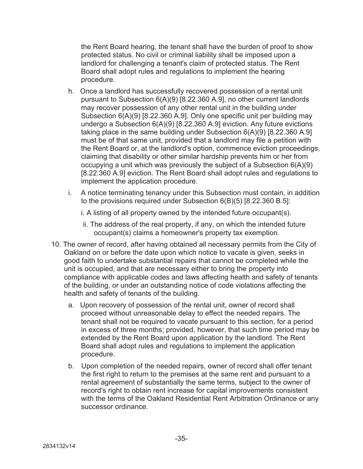the Rent Board hearing, the tenant shall have the burden of proof to show protected status. No civil or criminal liability shall be imposed upon a landlord for challenging a tenant's claim of protected status. The Rent Board shall adopt rules and regulations to implement the hearing procedure.

- h. Once a landlord has successfully recovered possession of a rental unit pursuant to Subsection 6(A)(9) [8.22.360 A.9], no other current landlords may recover possession of any other rental unit in the building under Subsection 6(A)(9) [8.22.360 A.9]. Only one specific unit per building may undergo a Subsection 6(A)(9) [8.22.360 A.9] eviction. Any future evictions taking place in the same building under Subsection 6(A)(9) [8.22.360 A.9] must be of that same unit, provided that a landlord may file a petition with the Rent Board or, at the landlord's option, commence eviction proceedings, claiming that disability or other similar hardship prevents him or her from occupying a unit which was previously the subject of a Subsection 6(A)(9) [8.22.360 A.9] eviction. The Rent Board shall adopt rules and regulations to implement the application procedure.
- i. A notice terminating tenancy under this Subsection must contain, in addition to the provisions required under Subsection 6(B)(5) [8.22.360 B.5]:
	- i. A listing of all property owned by the intended future occupant(s).
	- ii. The address of the real property, if any, on which the intended future occupant(s) claims a homeowner's property tax exemption.
- 10. The owner of record, after having obtained all necessary permits from the City of Oakland on or before the date upon which notice to vacate is given, seeks in good faith to undertake substantial repairs that cannot be completed while the unit is occupied, and that are necessary either to bring the property into compliance with applicable codes and laws affecting health and safety of tenants of the building, or under an outstanding notice of code violations affecting the health and safety of tenants of the building.
	- a. Upon recovery of possession of the rental unit, owner of record shall proceed without unreasonable delay to effect the needed repairs. The tenant shall not be required to vacate pursuant to this section, for a period in excess of three months; provided, however, that such time period may be extended by the Rent Board upon application by the landlord. The Rent Board shall adopt rules and regulations to implement the application procedure.
	- b. Upon completion of the needed repairs, owner of record shall offer tenant the first right to return to the premises at the same rent and pursuant to a rental agreement of substantially the same terms, subject to the owner of record's right to obtain rent increase for capital improvements consistent with the terms of the Oakland Residential Rent Arbitration Ordinance or any successor ordinance.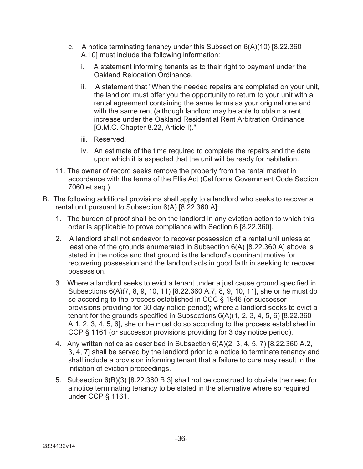- c. A notice terminating tenancy under this Subsection 6(A)(10) [8.22.360 A.10] must include the following information:
	- i. A statement informing tenants as to their right to payment under the Oakland Relocation Ordinance.
	- ii. A statement that "When the needed repairs are completed on your unit, the landlord must offer you the opportunity to return to your unit with a rental agreement containing the same terms as your original one and with the same rent (although landlord may be able to obtain a rent increase under the Oakland Residential Rent Arbitration Ordinance [O.M.C. Chapter 8.22, Article I)."
	- iii*.* Reserved.
	- iv. An estimate of the time required to complete the repairs and the date upon which it is expected that the unit will be ready for habitation.
- 11. The owner of record seeks remove the property from the rental market in accordance with the terms of the Ellis Act (California Government Code Section 7060 et seq.).
- B. The following additional provisions shall apply to a landlord who seeks to recover a rental unit pursuant to Subsection 6(A) [8.22.360 A]:
	- 1. The burden of proof shall be on the landlord in any eviction action to which this order is applicable to prove compliance with Section 6 [8.22.360].
	- 2. A landlord shall not endeavor to recover possession of a rental unit unless at least one of the grounds enumerated in Subsection 6(A) [8.22.360 A] above is stated in the notice and that ground is the landlord's dominant motive for recovering possession and the landlord acts in good faith in seeking to recover possession.
	- 3. Where a landlord seeks to evict a tenant under a just cause ground specified in Subsections 6(A)(7, 8, 9, 10, 11) [8.22.360 A.7, 8, 9, 10, 11], she or he must do so according to the process established in CCC § 1946 (or successor provisions providing for 30 day notice period); where a landlord seeks to evict a tenant for the grounds specified in Subsections 6(A)(1, 2, 3, 4, 5, 6) [8.22.360 A.1, 2, 3, 4, 5, 6], she or he must do so according to the process established in CCP § 1161 (or successor provisions providing for 3 day notice period).
	- 4. Any written notice as described in Subsection 6(A)(2, 3, 4, 5, 7) [8.22.360 A.2, 3, 4, 7] shall be served by the landlord prior to a notice to terminate tenancy and shall include a provision informing tenant that a failure to cure may result in the initiation of eviction proceedings.
	- 5. Subsection 6(B)(3) [8.22.360 B.3] shall not be construed to obviate the need for a notice terminating tenancy to be stated in the alternative where so required under CCP § 1161.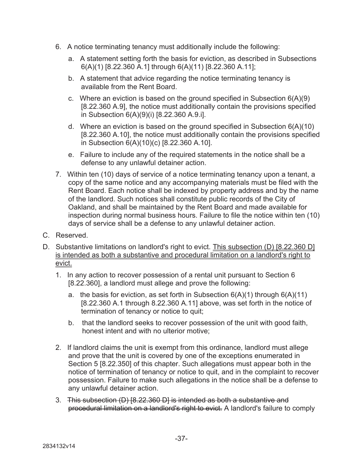- 6. A notice terminating tenancy must additionally include the following:
	- a. A statement setting forth the basis for eviction, as described in Subsections 6(A)(1) [8.22.360 A.1] through 6(A)(11) [8.22.360 A.11];
	- b. A statement that advice regarding the notice terminating tenancy is available from the Rent Board.
	- c. Where an eviction is based on the ground specified in Subsection 6(A)(9) [8.22.360 A.9], the notice must additionally contain the provisions specified in Subsection 6(A)(9)(i) [8.22.360 A.9.i].
	- d. Where an eviction is based on the ground specified in Subsection 6(A)(10) [8.22.360 A.10], the notice must additionally contain the provisions specified in Subsection 6(A)(10)(c) [8.22.360 A.10].
	- e. Failure to include any of the required statements in the notice shall be a defense to any unlawful detainer action.
- 7. Within ten (10) days of service of a notice terminating tenancy upon a tenant, a copy of the same notice and any accompanying materials must be filed with the Rent Board. Each notice shall be indexed by property address and by the name of the landlord. Such notices shall constitute public records of the City of Oakland, and shall be maintained by the Rent Board and made available for inspection during normal business hours. Failure to file the notice within ten (10) days of service shall be a defense to any unlawful detainer action.
- C. Reserved.
- D. Substantive limitations on landlord's right to evict. This subsection (D) [8.22.360 D] is intended as both a substantive and procedural limitation on a landlord's right to evict.
	- 1. In any action to recover possession of a rental unit pursuant to Section 6 [8.22.360], a landlord must allege and prove the following:
		- a. the basis for eviction, as set forth in Subsection  $6(A)(1)$  through  $6(A)(11)$ [8.22.360 A.1 through 8.22.360 A.11] above, was set forth in the notice of termination of tenancy or notice to quit;
		- b. that the landlord seeks to recover possession of the unit with good faith, honest intent and with no ulterior motive;
	- 2. If landlord claims the unit is exempt from this ordinance, landlord must allege and prove that the unit is covered by one of the exceptions enumerated in Section 5 [8.22.350] of this chapter. Such allegations must appear both in the notice of termination of tenancy or notice to quit, and in the complaint to recover possession. Failure to make such allegations in the notice shall be a defense to any unlawful detainer action.
	- 3. This subsection (D) [8.22.360 D] is intended as both a substantive and procedural limitation on a landlord's right to evict. A landlord's failure to comply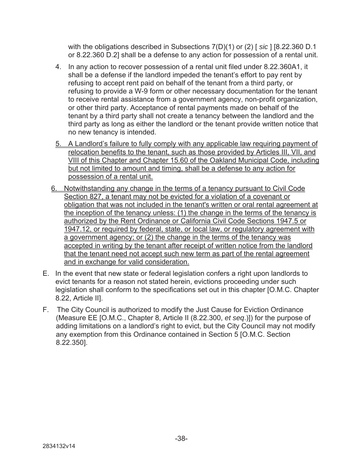with the obligations described in Subsections 7(D)(1) or (2) [ *sic* ] [8.22.360 D.1 or 8.22.360 D.2] shall be a defense to any action for possession of a rental unit.

- 4. In any action to recover possession of a rental unit filed under 8.22.360A1, it shall be a defense if the landlord impeded the tenant's effort to pay rent by refusing to accept rent paid on behalf of the tenant from a third party, or refusing to provide a W-9 form or other necessary documentation for the tenant to receive rental assistance from a government agency, non-profit organization, or other third party. Acceptance of rental payments made on behalf of the tenant by a third party shall not create a tenancy between the landlord and the third party as long as either the landlord or the tenant provide written notice that no new tenancy is intended.
- 5. A Landlord's failure to fully comply with any applicable law requiring payment of relocation benefits to the tenant, such as those provided by Articles III, VII, and VIII of this Chapter and Chapter 15.60 of the Oakland Municipal Code, including but not limited to amount and timing, shall be a defense to any action for possession of a rental unit.
- 6. Notwithstanding any change in the terms of a tenancy pursuant to Civil Code Section 827, a tenant may not be evicted for a violation of a covenant or obligation that was not included in the tenant's written or oral rental agreement at the inception of the tenancy unless: (1) the change in the terms of the tenancy is authorized by the Rent Ordinance or California Civil Code Sections 1947.5 or 1947.12, or required by federal, state, or local law, or regulatory agreement with a government agency; or (2) the change in the terms of the tenancy was accepted in writing by the tenant after receipt of written notice from the landlord that the tenant need not accept such new term as part of the rental agreement and in exchange for valid consideration.
- E. In the event that new state or federal legislation confers a right upon landlords to evict tenants for a reason not stated herein, evictions proceeding under such legislation shall conform to the specifications set out in this chapter [O.M.C. Chapter 8.22, Article II].
- F. The City Council is authorized to modify the Just Cause for Eviction Ordinance (Measure EE [O.M.C., Chapter 8, Article II (8.22.300, *et seq*.)]) for the purpose of adding limitations on a landlord's right to evict, but the City Council may not modify any exemption from this Ordinance contained in Section 5 [O.M.C. Section 8.22.350].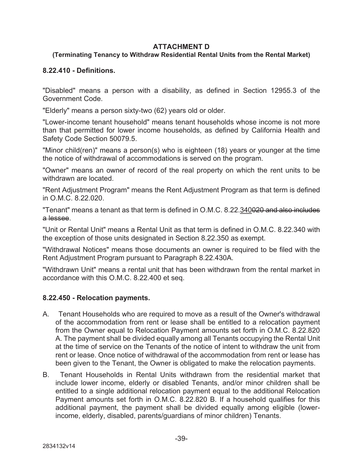#### **ATTACHMENT D**

## **(Terminating Tenancy to Withdraw Residential Rental Units from the Rental Market)**

#### **8.22.410 - Definitions.**

"Disabled" means a person with a disability, as defined in Section 12955.3 of the Government Code.

"Elderly" means a person sixty-two (62) years old or older.

"Lower-income tenant household" means tenant households whose income is not more than that permitted for lower income households, as defined by California Health and Safety Code Section 50079.5.

"Minor child(ren)" means a person(s) who is eighteen (18) years or younger at the time the notice of withdrawal of accommodations is served on the program.

"Owner" means an owner of record of the real property on which the rent units to be withdrawn are located.

"Rent Adjustment Program" means the Rent Adjustment Program as that term is defined in O.M.C. 8.22.020.

"Tenant" means a tenant as that term is defined in O.M.C. 8.22.340020 and also includes a lessee.

"Unit or Rental Unit" means a Rental Unit as that term is defined in O.M.C. 8.22.340 with the exception of those units designated in Section 8.22.350 as exempt.

"Withdrawal Notices" means those documents an owner is required to be filed with the Rent Adjustment Program pursuant to Paragraph 8.22.430A.

"Withdrawn Unit" means a rental unit that has been withdrawn from the rental market in accordance with this O.M.C. 8.22.400 et seq.

## **8.22.450 - Relocation payments.**

- A. Tenant Households who are required to move as a result of the Owner's withdrawal of the accommodation from rent or lease shall be entitled to a relocation payment from the Owner equal to Relocation Payment amounts set forth in O.M.C. 8.22.820 A. The payment shall be divided equally among all Tenants occupying the Rental Unit at the time of service on the Tenants of the notice of intent to withdraw the unit from rent or lease. Once notice of withdrawal of the accommodation from rent or lease has been given to the Tenant, the Owner is obligated to make the relocation payments.
- B. Tenant Households in Rental Units withdrawn from the residential market that include lower income, elderly or disabled Tenants, and/or minor children shall be entitled to a single additional relocation payment equal to the additional Relocation Payment amounts set forth in O.M.C. 8.22.820 B. If a household qualifies for this additional payment, the payment shall be divided equally among eligible (lowerincome, elderly, disabled, parents/guardians of minor children) Tenants.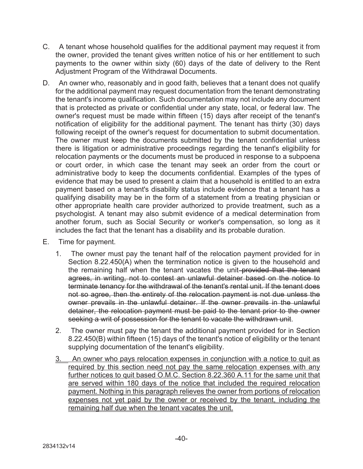- C. A tenant whose household qualifies for the additional payment may request it from the owner, provided the tenant gives written notice of his or her entitlement to such payments to the owner within sixty (60) days of the date of delivery to the Rent Adjustment Program of the Withdrawal Documents.
- D. An owner who, reasonably and in good faith, believes that a tenant does not qualify for the additional payment may request documentation from the tenant demonstrating the tenant's income qualification. Such documentation may not include any document that is protected as private or confidential under any state, local, or federal law. The owner's request must be made within fifteen (15) days after receipt of the tenant's notification of eligibility for the additional payment. The tenant has thirty (30) days following receipt of the owner's request for documentation to submit documentation. The owner must keep the documents submitted by the tenant confidential unless there is litigation or administrative proceedings regarding the tenant's eligibility for relocation payments or the documents must be produced in response to a subpoena or court order, in which case the tenant may seek an order from the court or administrative body to keep the documents confidential. Examples of the types of evidence that may be used to present a claim that a household is entitled to an extra payment based on a tenant's disability status include evidence that a tenant has a qualifying disability may be in the form of a statement from a treating physician or other appropriate health care provider authorized to provide treatment, such as a psychologist. A tenant may also submit evidence of a medical determination from another forum, such as Social Security or worker's compensation, so long as it includes the fact that the tenant has a disability and its probable duration.
- E. Time for payment.
	- 1. The owner must pay the tenant half of the relocation payment provided for in Section 8.22.450(A) when the termination notice is given to the household and the remaining half when the tenant vacates the unit-provided that the tenant agrees, in writing, not to contest an unlawful detainer based on the notice to terminate tenancy for the withdrawal of the tenant's rental unit. If the tenant does not so agree, then the entirety of the relocation payment is not due unless the owner prevails in the unlawful detainer. If the owner prevails in the unlawful detainer, the relocation payment must be paid to the tenant prior to the owner seeking a writ of possession for the tenant to vacate the withdrawn unit.
	- 2. The owner must pay the tenant the additional payment provided for in Section 8.22.450(B) within fifteen (15) days of the tenant's notice of eligibility or the tenant supplying documentation of the tenant's eligibility.
	- 3. An owner who pays relocation expenses in conjunction with a notice to quit as required by this section need not pay the same relocation expenses with any further notices to quit based O.M.C. Section 8.22.360 A.11 for the same unit that are served within 180 days of the notice that included the required relocation payment. Nothing in this paragraph relieves the owner from portions of relocation expenses not yet paid by the owner or received by the tenant, including the remaining half due when the tenant vacates the unit.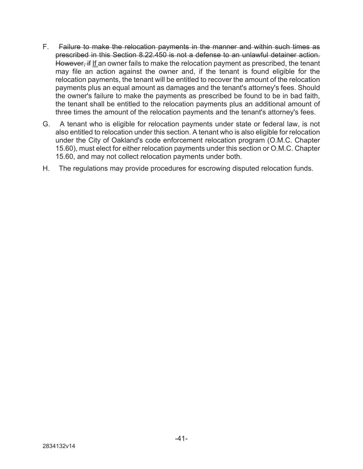- F. Failure to make the relocation payments in the manner and within such times as prescribed in this Section 8.22.450 is not a defense to an unlawful detainer action. However, if If an owner fails to make the relocation payment as prescribed, the tenant may file an action against the owner and, if the tenant is found eligible for the relocation payments, the tenant will be entitled to recover the amount of the relocation payments plus an equal amount as damages and the tenant's attorney's fees. Should the owner's failure to make the payments as prescribed be found to be in bad faith, the tenant shall be entitled to the relocation payments plus an additional amount of three times the amount of the relocation payments and the tenant's attorney's fees.
- G. A tenant who is eligible for relocation payments under state or federal law, is not also entitled to relocation under this section. A tenant who is also eligible for relocation under the City of Oakland's code enforcement relocation program (O.M.C. Chapter 15.60), must elect for either relocation payments under this section or O.M.C. Chapter 15.60, and may not collect relocation payments under both.
- H. The regulations may provide procedures for escrowing disputed relocation funds.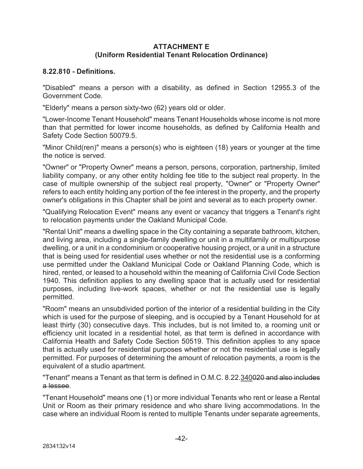#### **ATTACHMENT E (Uniform Residential Tenant Relocation Ordinance)**

#### **8.22.810 - Definitions.**

"Disabled" means a person with a disability, as defined in Section 12955.3 of the Government Code.

"Elderly" means a person sixty-two (62) years old or older.

"Lower-Income Tenant Household" means Tenant Households whose income is not more than that permitted for lower income households, as defined by California Health and Safety Code Section 50079.5.

"Minor Child(ren)" means a person(s) who is eighteen (18) years or younger at the time the notice is served.

"Owner" or "Property Owner" means a person, persons, corporation, partnership, limited liability company, or any other entity holding fee title to the subject real property. In the case of multiple ownership of the subject real property, "Owner" or "Property Owner" refers to each entity holding any portion of the fee interest in the property, and the property owner's obligations in this Chapter shall be joint and several as to each property owner.

"Qualifying Relocation Event" means any event or vacancy that triggers a Tenant's right to relocation payments under the Oakland Municipal Code.

"Rental Unit" means a dwelling space in the City containing a separate bathroom, kitchen, and living area, including a single-family dwelling or unit in a multifamily or multipurpose dwelling, or a unit in a condominium or cooperative housing project, or a unit in a structure that is being used for residential uses whether or not the residential use is a conforming use permitted under the Oakland Municipal Code or Oakland Planning Code, which is hired, rented, or leased to a household within the meaning of California Civil Code Section 1940. This definition applies to any dwelling space that is actually used for residential purposes, including live-work spaces, whether or not the residential use is legally permitted.

"Room" means an unsubdivided portion of the interior of a residential building in the City which is used for the purpose of sleeping, and is occupied by a Tenant Household for at least thirty (30) consecutive days. This includes, but is not limited to, a rooming unit or efficiency unit located in a residential hotel, as that term is defined in accordance with California Health and Safety Code Section 50519. This definition applies to any space that is actually used for residential purposes whether or not the residential use is legally permitted. For purposes of determining the amount of relocation payments, a room is the equivalent of a studio apartment.

"Tenant" means a Tenant as that term is defined in O.M.C. 8.22.340020 and also includes a lessee.

"Tenant Household" means one (1) or more individual Tenants who rent or lease a Rental Unit or Room as their primary residence and who share living accommodations. In the case where an individual Room is rented to multiple Tenants under separate agreements,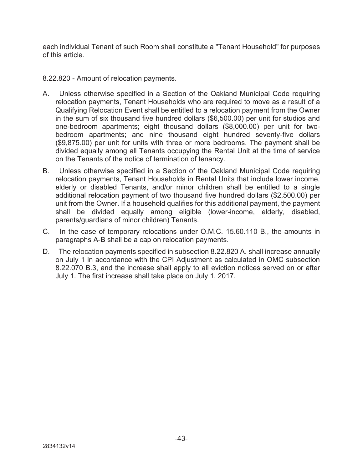each individual Tenant of such Room shall constitute a "Tenant Household" for purposes of this article.

8.22.820 - Amount of relocation payments.

- A. Unless otherwise specified in a Section of the Oakland Municipal Code requiring relocation payments, Tenant Households who are required to move as a result of a Qualifying Relocation Event shall be entitled to a relocation payment from the Owner in the sum of six thousand five hundred dollars (\$6,500.00) per unit for studios and one-bedroom apartments; eight thousand dollars (\$8,000.00) per unit for twobedroom apartments; and nine thousand eight hundred seventy-five dollars (\$9,875.00) per unit for units with three or more bedrooms. The payment shall be divided equally among all Tenants occupying the Rental Unit at the time of service on the Tenants of the notice of termination of tenancy.
- B. Unless otherwise specified in a Section of the Oakland Municipal Code requiring relocation payments, Tenant Households in Rental Units that include lower income, elderly or disabled Tenants, and/or minor children shall be entitled to a single additional relocation payment of two thousand five hundred dollars (\$2,500.00) per unit from the Owner. If a household qualifies for this additional payment, the payment shall be divided equally among eligible (lower-income, elderly, disabled, parents/guardians of minor children) Tenants.
- C. In the case of temporary relocations under O.M.C. 15.60.110 B., the amounts in paragraphs A-B shall be a cap on relocation payments.
- D. The relocation payments specified in subsection 8.22.820 A. shall increase annually on July 1 in accordance with the CPI Adjustment as calculated in OMC subsection 8.22.070 B.3, and the increase shall apply to all eviction notices served on or after July 1. The first increase shall take place on July 1, 2017.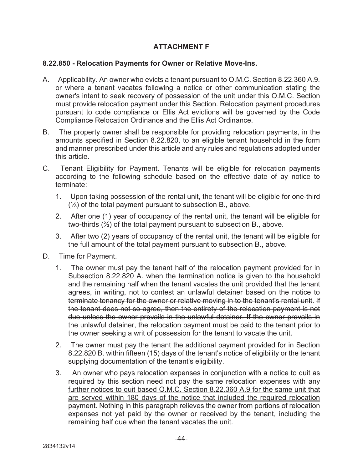## **ATTACHMENT F**

#### **8.22.850 - Relocation Payments for Owner or Relative Move-Ins.**

- A. Applicability. An owner who evicts a tenant pursuant to O.M.C. Section 8.22.360 A.9. or where a tenant vacates following a notice or other communication stating the owner's intent to seek recovery of possession of the unit under this O.M.C. Section must provide relocation payment under this Section. Relocation payment procedures pursuant to code compliance or Ellis Act evictions will be governed by the Code Compliance Relocation Ordinance and the Ellis Act Ordinance.
- B. The property owner shall be responsible for providing relocation payments, in the amounts specified in Section 8.22.820, to an eligible tenant household in the form and manner prescribed under this article and any rules and regulations adopted under this article.
- C. Tenant Eligibility for Payment. Tenants will be eligible for relocation payments according to the following schedule based on the effective date of ay notice to terminate:
	- 1. Upon taking possession of the rental unit, the tenant will be eligible for one-third (⅓) of the total payment pursuant to subsection B., above.
	- 2. After one (1) year of occupancy of the rental unit, the tenant will be eligible for two-thirds (⅔) of the total payment pursuant to subsection B., above.
	- 3. After two (2) years of occupancy of the rental unit, the tenant will be eligible for the full amount of the total payment pursuant to subsection B., above.
- D. Time for Payment.
	- 1. The owner must pay the tenant half of the relocation payment provided for in Subsection 8.22.820 A. when the termination notice is given to the household and the remaining half when the tenant vacates the unit provided that the tenant agrees, in writing, not to contest an unlawful detainer based on the notice to terminate tenancy for the owner or relative moving in to the tenant's rental unit. If the tenant does not so agree, then the entirety of the relocation payment is not due unless the owner prevails in the unlawful detainer. If the owner prevails in the unlawful detainer, the relocation payment must be paid to the tenant prior to the owner seeking a writ of possession for the tenant to vacate the unit.
	- 2. The owner must pay the tenant the additional payment provided for in Section 8.22.820 B. within fifteen (15) days of the tenant's notice of eligibility or the tenant supplying documentation of the tenant's eligibility.
	- 3. An owner who pays relocation expenses in conjunction with a notice to quit as required by this section need not pay the same relocation expenses with any further notices to quit based O.M.C. Section 8.22.360 A.9 for the same unit that are served within 180 days of the notice that included the required relocation payment. Nothing in this paragraph relieves the owner from portions of relocation expenses not yet paid by the owner or received by the tenant, including the remaining half due when the tenant vacates the unit.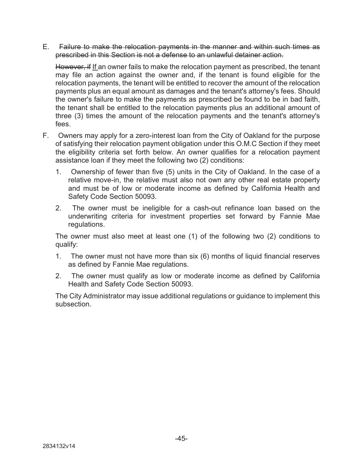#### E. Failure to make the relocation payments in the manner and within such times as prescribed in this Section is not a defense to an unlawful detainer action.

However, if If an owner fails to make the relocation payment as prescribed, the tenant may file an action against the owner and, if the tenant is found eligible for the relocation payments, the tenant will be entitled to recover the amount of the relocation payments plus an equal amount as damages and the tenant's attorney's fees. Should the owner's failure to make the payments as prescribed be found to be in bad faith, the tenant shall be entitled to the relocation payments plus an additional amount of three (3) times the amount of the relocation payments and the tenant's attorney's fees.

- F. Owners may apply for a zero-interest loan from the City of Oakland for the purpose of satisfying their relocation payment obligation under this O.M.C Section if they meet the eligibility criteria set forth below. An owner qualifies for a relocation payment assistance loan if they meet the following two (2) conditions:
	- 1. Ownership of fewer than five (5) units in the City of Oakland. In the case of a relative move-in, the relative must also not own any other real estate property and must be of low or moderate income as defined by California Health and Safety Code Section 50093.
	- 2. The owner must be ineligible for a cash-out refinance loan based on the underwriting criteria for investment properties set forward by Fannie Mae regulations.

The owner must also meet at least one (1) of the following two (2) conditions to qualify:

- 1. The owner must not have more than six (6) months of liquid financial reserves as defined by Fannie Mae regulations.
- 2. The owner must qualify as low or moderate income as defined by California Health and Safety Code Section 50093.

The City Administrator may issue additional regulations or guidance to implement this subsection.